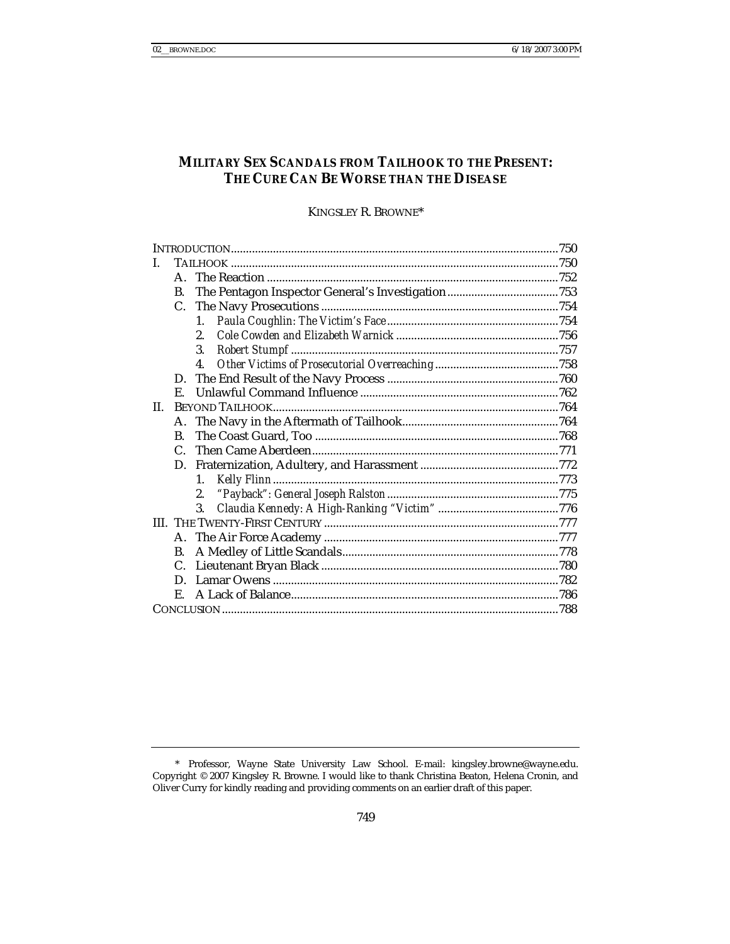# **MILITARY SEX SCANDALS FROM TAILHOOK TO THE PRESENT: THE CURE CAN BE WORSE THAN THE DISEASE**

KINGSLEY R. BROWNE\*

|     | $\mathbf{A}_{\cdot}$ |                |  |  |
|-----|----------------------|----------------|--|--|
|     | <b>B.</b>            |                |  |  |
|     | C.                   |                |  |  |
|     |                      | 1.             |  |  |
|     |                      | 2.             |  |  |
|     |                      | 3.             |  |  |
|     |                      | $\mathbf{4}$ . |  |  |
|     | D.                   |                |  |  |
|     | E.                   |                |  |  |
| II. |                      |                |  |  |
|     |                      |                |  |  |
|     | B.                   |                |  |  |
|     | $\mathcal{C}$        |                |  |  |
|     | D.                   |                |  |  |
|     |                      | 1.             |  |  |
|     |                      | 2.             |  |  |
|     |                      | 3.             |  |  |
|     |                      |                |  |  |
|     |                      |                |  |  |
|     | B.                   |                |  |  |
|     | C.                   |                |  |  |
|     | D.                   |                |  |  |
|     | Е.                   |                |  |  |
|     |                      |                |  |  |

 <sup>\*</sup> Professor, Wayne State University Law School. E-mail: kingsley.browne@wayne.edu. Copyright © 2007 Kingsley R. Browne. I would like to thank Christina Beaton, Helena Cronin, and Oliver Curry for kindly reading and providing comments on an earlier draft of this paper.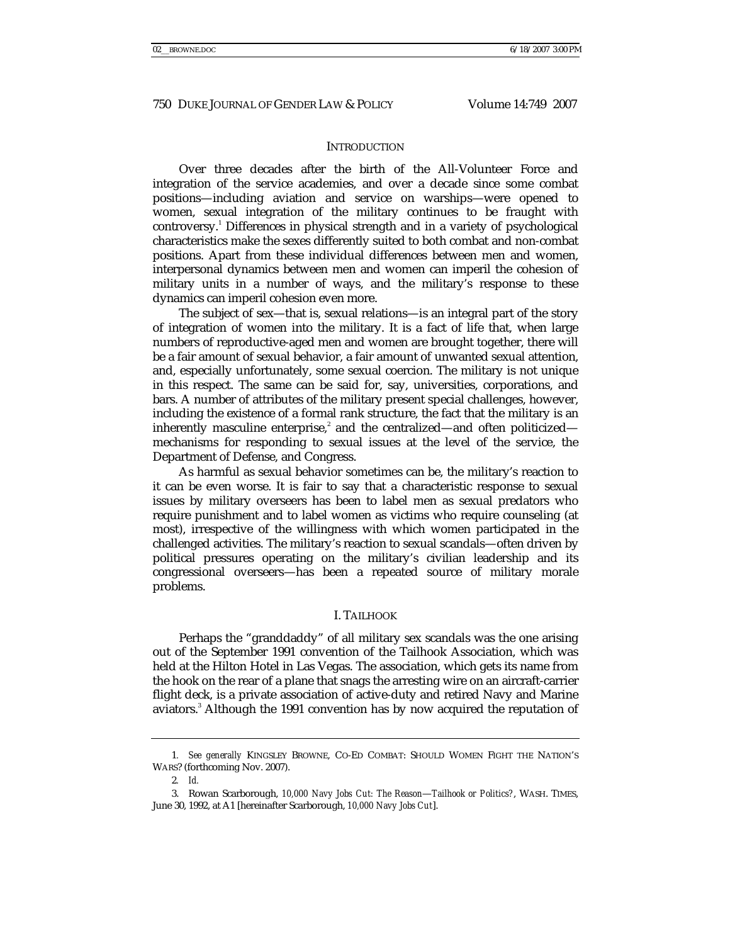#### **INTRODUCTION**

Over three decades after the birth of the All-Volunteer Force and integration of the service academies, and over a decade since some combat positions—including aviation and service on warships—were opened to women, sexual integration of the military continues to be fraught with controversy.<sup>1</sup> Differences in physical strength and in a variety of psychological characteristics make the sexes differently suited to both combat and non-combat positions. Apart from these individual differences between men and women, interpersonal dynamics between men and women can imperil the cohesion of military units in a number of ways, and the military's response to these dynamics can imperil cohesion even more.

The subject of sex—that is, sexual relations—is an integral part of the story of integration of women into the military. It is a fact of life that, when large numbers of reproductive-aged men and women are brought together, there will be a fair amount of sexual behavior, a fair amount of unwanted sexual attention, and, especially unfortunately, some sexual coercion. The military is not unique in this respect. The same can be said for, say, universities, corporations, and bars. A number of attributes of the military present special challenges, however, including the existence of a formal rank structure, the fact that the military is an inherently masculine enterprise, $^{2}$  and the centralized—and often politicized mechanisms for responding to sexual issues at the level of the service, the Department of Defense, and Congress.

As harmful as sexual behavior sometimes can be, the military's reaction to it can be even worse. It is fair to say that a characteristic response to sexual issues by military overseers has been to label men as sexual predators who require punishment and to label women as victims who require counseling (at most), irrespective of the willingness with which women participated in the challenged activities. The military's reaction to sexual scandals—often driven by political pressures operating on the military's civilian leadership and its congressional overseers—has been a repeated source of military morale problems.

#### I. TAILHOOK

Perhaps the "granddaddy" of all military sex scandals was the one arising out of the September 1991 convention of the Tailhook Association, which was held at the Hilton Hotel in Las Vegas. The association, which gets its name from the hook on the rear of a plane that snags the arresting wire on an aircraft-carrier flight deck, is a private association of active-duty and retired Navy and Marine aviators.<sup>3</sup> Although the 1991 convention has by now acquired the reputation of

<sup>1</sup>*. See generally* KINGSLEY BROWNE, CO-ED COMBAT: SHOULD WOMEN FIGHT THE NATION'S WARS? (forthcoming Nov. 2007).

<sup>2</sup>*. Id.*

 <sup>3.</sup> Rowan Scarborough, *10,000 Navy Jobs Cut: The Reason*—*Tailhook or Politics?*, WASH. TIMES, June 30, 1992, at A1 [hereinafter Scarborough, *10,000 Navy Jobs Cut*].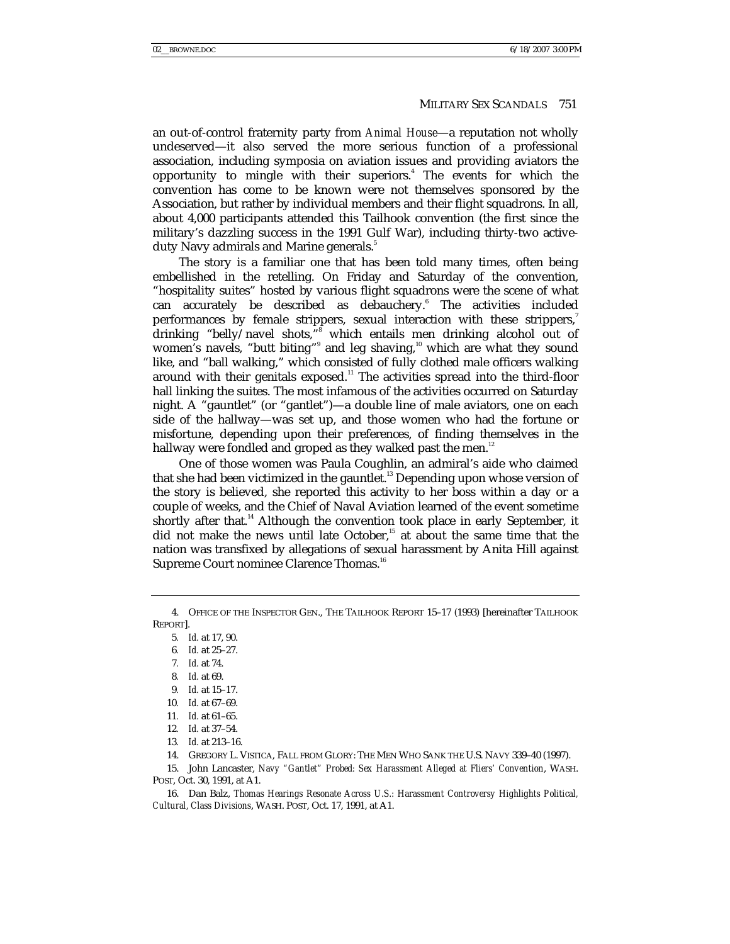an out-of-control fraternity party from *Animal House*—a reputation not wholly undeserved—it also served the more serious function of a professional association, including symposia on aviation issues and providing aviators the opportunity to mingle with their superiors.<sup>4</sup> The events for which the convention has come to be known were not themselves sponsored by the Association, but rather by individual members and their flight squadrons. In all, about 4,000 participants attended this Tailhook convention (the first since the military's dazzling success in the 1991 Gulf War), including thirty-two activeduty Navy admirals and Marine generals.<sup>5</sup>

The story is a familiar one that has been told many times, often being embellished in the retelling. On Friday and Saturday of the convention, "hospitality suites" hosted by various flight squadrons were the scene of what can accurately be described as debauchery.<sup>6</sup> The activities included performances by female strippers, sexual interaction with these strippers,<sup>7</sup> drinking "belly/navel shots,"<sup>8</sup> which entails men drinking alcohol out of women's navels, "butt biting"<sup>9</sup> and leg shaving,<sup>10</sup> which are what they sound like, and "ball walking," which consisted of fully clothed male officers walking around with their genitals exposed.<sup>11</sup> The activities spread into the third-floor hall linking the suites. The most infamous of the activities occurred on Saturday night. A "gauntlet" (or "gantlet")—a double line of male aviators, one on each side of the hallway—was set up, and those women who had the fortune or misfortune, depending upon their preferences, of finding themselves in the hallway were fondled and groped as they walked past the men. $12$ 

One of those women was Paula Coughlin, an admiral's aide who claimed that she had been victimized in the gauntlet.<sup>13</sup> Depending upon whose version of the story is believed, she reported this activity to her boss within a day or a couple of weeks, and the Chief of Naval Aviation learned of the event sometime shortly after that.<sup>14</sup> Although the convention took place in early September, it did not make the news until late October,<sup>15</sup> at about the same time that the nation was transfixed by allegations of sexual harassment by Anita Hill against Supreme Court nominee Clarence Thomas.<sup>16</sup>

6*. Id.* at 25–27.

- 8*. Id.* at 69.
- 9*. Id.* at 15–17.
- 10*. Id.* at 67–69.

 15. John Lancaster, *Navy "Gantlet" Probed: Sex Harassment Alleged at Fliers' Convention*, WASH. POST, Oct. 30, 1991, at A1.

 16. Dan Balz, *Thomas Hearings Resonate Across U.S.: Harassment Controversy Highlights Political, Cultural, Class Divisions*, WASH. POST, Oct. 17, 1991, at A1.

 <sup>4.</sup> OFFICE OF THE INSPECTOR GEN., THE TAILHOOK REPORT 15–17 (1993) [hereinafter TAILHOOK REPORT].

<sup>5</sup>*. Id.* at 17, 90.

<sup>7</sup>*. Id.* at 74.

<sup>11</sup>*. Id.* at 61–65.

<sup>12</sup>*. Id.* at 37–54.

<sup>13</sup>*. Id.* at 213–16.

 <sup>14.</sup> GREGORY L. VISTICA, FALL FROM GLORY: THE MEN WHO SANK THE U.S. NAVY 339–40 (1997).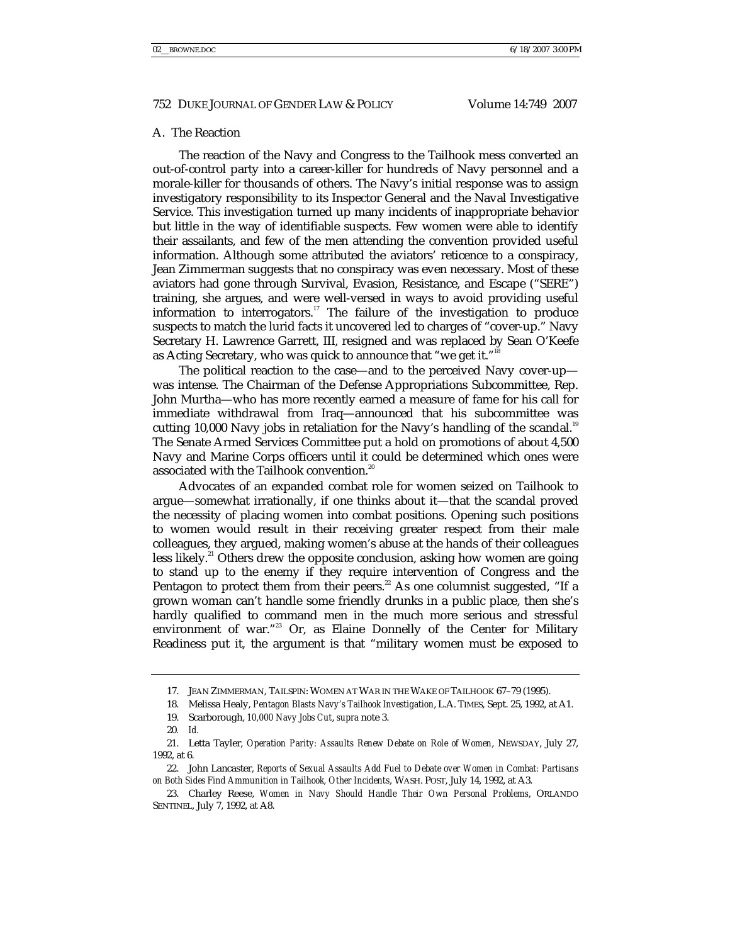#### A. The Reaction

The reaction of the Navy and Congress to the Tailhook mess converted an out-of-control party into a career-killer for hundreds of Navy personnel and a morale-killer for thousands of others. The Navy's initial response was to assign investigatory responsibility to its Inspector General and the Naval Investigative Service. This investigation turned up many incidents of inappropriate behavior but little in the way of identifiable suspects. Few women were able to identify their assailants, and few of the men attending the convention provided useful information. Although some attributed the aviators' reticence to a conspiracy, Jean Zimmerman suggests that no conspiracy was even necessary. Most of these aviators had gone through Survival, Evasion, Resistance, and Escape ("SERE") training, she argues, and were well-versed in ways to avoid providing useful information to interrogators.<sup>17</sup> The failure of the investigation to produce suspects to match the lurid facts it uncovered led to charges of "cover-up." Navy Secretary H. Lawrence Garrett, III, resigned and was replaced by Sean O'Keefe as Acting Secretary, who was quick to announce that "we get it."<sup>18</sup>

The political reaction to the case—and to the perceived Navy cover-up was intense. The Chairman of the Defense Appropriations Subcommittee, Rep. John Murtha—who has more recently earned a measure of fame for his call for immediate withdrawal from Iraq—announced that his subcommittee was cutting 10,000 Navy jobs in retaliation for the Navy's handling of the scandal.<sup>19</sup> The Senate Armed Services Committee put a hold on promotions of about 4,500 Navy and Marine Corps officers until it could be determined which ones were associated with the Tailhook convention.<sup>20</sup>

Advocates of an expanded combat role for women seized on Tailhook to argue—somewhat irrationally, if one thinks about it—that the scandal proved the necessity of placing women into combat positions. Opening such positions to women would result in their receiving greater respect from their male colleagues, they argued, making women's abuse at the hands of their colleagues less likely.<sup>21</sup> Others drew the opposite conclusion, asking how women are going to stand up to the enemy if they require intervention of Congress and the Pentagon to protect them from their peers.<sup>22</sup> As one columnist suggested, "If a grown woman can't handle some friendly drunks in a public place, then she's hardly qualified to command men in the much more serious and stressful environment of war."<sup>23</sup> Or, as Elaine Donnelly of the Center for Military Readiness put it, the argument is that "military women must be exposed to

 <sup>17.</sup> JEAN ZIMMERMAN, TAILSPIN: WOMEN AT WAR IN THE WAKE OF TAILHOOK 67–79 (1995).

 <sup>18.</sup> Melissa Healy, *Pentagon Blasts Navy's Tailhook Investigation*, L.A. TIMES, Sept. 25, 1992, at A1.

 <sup>19.</sup> Scarborough, *10,000 Navy Jobs Cut*, *supra* note 3.

<sup>20</sup>*. Id.*

 <sup>21.</sup> Letta Tayler, *Operation Parity: Assaults Renew Debate on Role of Women*, NEWSDAY, July 27, 1992, at 6.

 <sup>22.</sup> John Lancaster, *Reports of Sexual Assaults Add Fuel to Debate over Women in Combat: Partisans on Both Sides Find Ammunition in Tailhook, Other Incidents*, WASH. POST, July 14, 1992, at A3.

 <sup>23.</sup> Charley Reese, *Women in Navy Should Handle Their Own Personal Problems*, ORLANDO SENTINEL, July 7, 1992, at A8.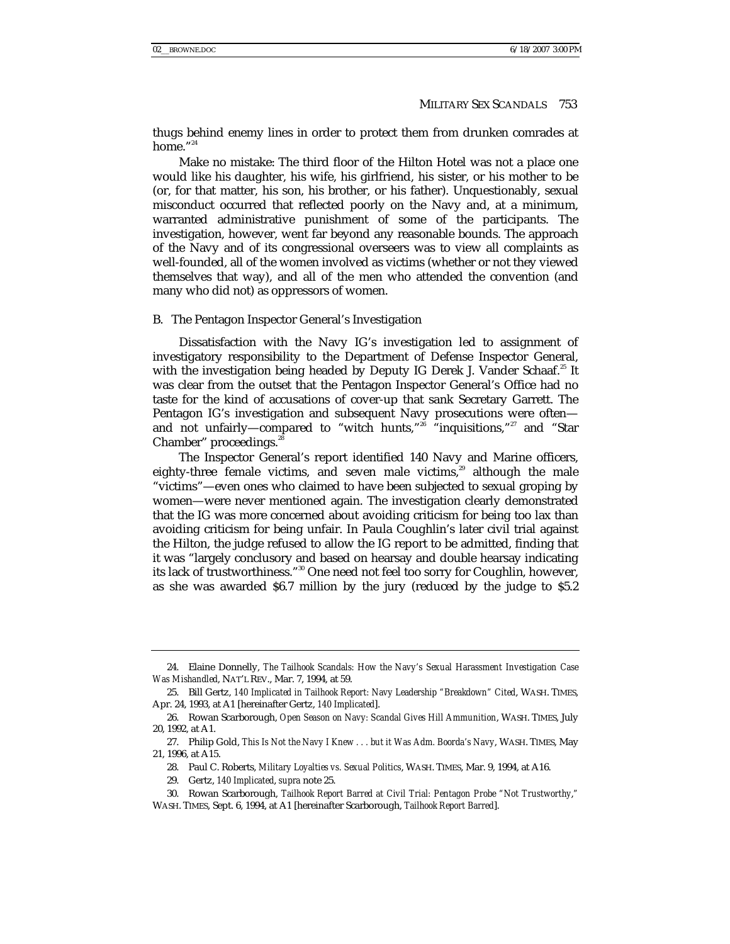thugs behind enemy lines in order to protect them from drunken comrades at home."<sup>24</sup>

Make no mistake: The third floor of the Hilton Hotel was not a place one would like his daughter, his wife, his girlfriend, his sister, or his mother to be (or, for that matter, his son, his brother, or his father). Unquestionably, sexual misconduct occurred that reflected poorly on the Navy and, at a minimum, warranted administrative punishment of some of the participants. The investigation, however, went far beyond any reasonable bounds. The approach of the Navy and of its congressional overseers was to view all complaints as well-founded, all of the women involved as victims (whether or not they viewed themselves that way), and all of the men who attended the convention (and many who did not) as oppressors of women.

#### B. The Pentagon Inspector General's Investigation

Dissatisfaction with the Navy IG's investigation led to assignment of investigatory responsibility to the Department of Defense Inspector General, with the investigation being headed by Deputy IG Derek J. Vander Schaaf.<sup>25</sup> It was clear from the outset that the Pentagon Inspector General's Office had no taste for the kind of accusations of cover-up that sank Secretary Garrett. The Pentagon IG's investigation and subsequent Navy prosecutions were often and not unfairly—compared to "witch hunts,"<sup>26</sup> "inquisitions,"<sup>27</sup> and "Star Chamber" proceedings.<sup>28</sup>

The Inspector General's report identified 140 Navy and Marine officers, eighty-three female victims, and seven male victims, $29$  although the male "victims"—even ones who claimed to have been subjected to sexual groping by women—were never mentioned again. The investigation clearly demonstrated that the IG was more concerned about avoiding criticism for being too lax than avoiding criticism for being unfair. In Paula Coughlin's later civil trial against the Hilton, the judge refused to allow the IG report to be admitted, finding that it was "largely conclusory and based on hearsay and double hearsay indicating its lack of trustworthiness."<sup>30</sup> One need not feel too sorry for Coughlin, however, as she was awarded \$6.7 million by the jury (reduced by the judge to \$5.2

 <sup>24.</sup> Elaine Donnelly, *The Tailhook Scandals: How the Navy's Sexual Harassment Investigation Case Was Mishandled*, NAT'L REV., Mar. 7, 1994, at 59.

 <sup>25.</sup> Bill Gertz, *140 Implicated in Tailhook Report: Navy Leadership "Breakdown" Cited*, WASH. TIMES, Apr. 24, 1993, at A1 [hereinafter Gertz, *140 Implicated*].

 <sup>26.</sup> Rowan Scarborough, *Open Season on Navy: Scandal Gives Hill Ammunition*, WASH. TIMES, July 20, 1992, at A1.

 <sup>27.</sup> Philip Gold, *This Is Not the Navy I Knew . . . but it Was Adm. Boorda's Navy*, WASH. TIMES, May 21, 1996, at A15.

 <sup>28.</sup> Paul C. Roberts, *Military Loyalties vs. Sexual Politics*, WASH. TIMES, Mar. 9, 1994, at A16.

 <sup>29.</sup> Gertz, *140 Implicated*, *supra* note 25.

 <sup>30.</sup> Rowan Scarborough, *Tailhook Report Barred at Civil Trial: Pentagon Probe "Not Trustworthy*,*"* WASH. TIMES, Sept. 6, 1994, at A1 [hereinafter Scarborough, *Tailhook Report Barred*].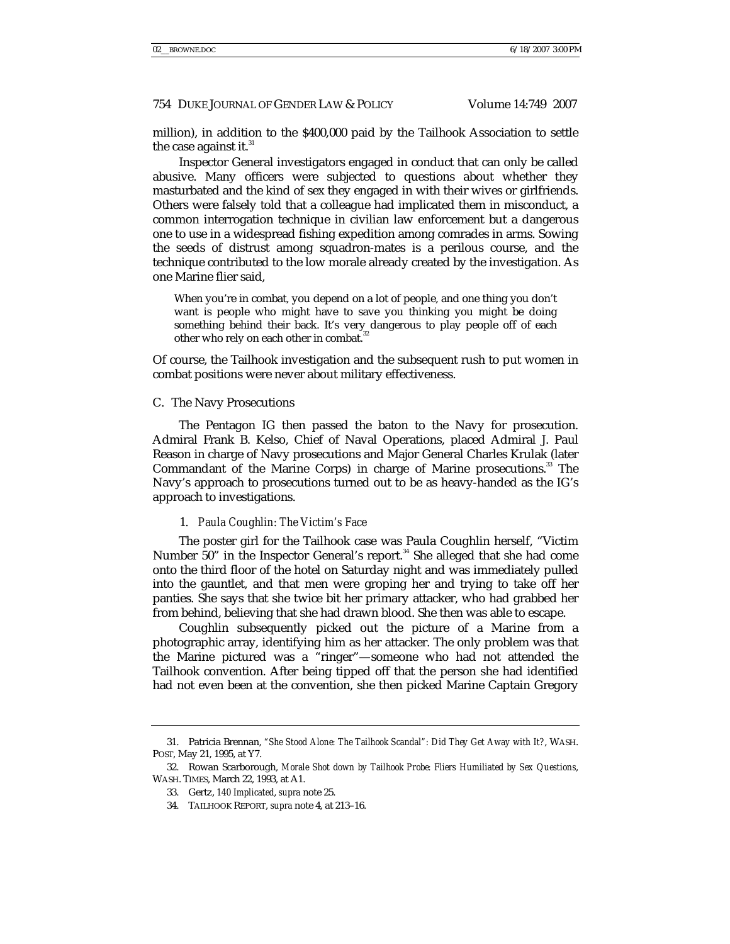million), in addition to the \$400,000 paid by the Tailhook Association to settle the case against it.<sup>31</sup>

Inspector General investigators engaged in conduct that can only be called abusive. Many officers were subjected to questions about whether they masturbated and the kind of sex they engaged in with their wives or girlfriends. Others were falsely told that a colleague had implicated them in misconduct, a common interrogation technique in civilian law enforcement but a dangerous one to use in a widespread fishing expedition among comrades in arms. Sowing the seeds of distrust among squadron-mates is a perilous course, and the technique contributed to the low morale already created by the investigation. As one Marine flier said,

When you're in combat, you depend on a lot of people, and one thing you don't want is people who might have to save you thinking you might be doing something behind their back. It's very dangerous to play people off of each other who rely on each other in combat.

Of course, the Tailhook investigation and the subsequent rush to put women in combat positions were never about military effectiveness.

#### C. The Navy Prosecutions

The Pentagon IG then passed the baton to the Navy for prosecution. Admiral Frank B. Kelso, Chief of Naval Operations, placed Admiral J. Paul Reason in charge of Navy prosecutions and Major General Charles Krulak (later Commandant of the Marine Corps) in charge of Marine prosecutions.<sup>33</sup> The Navy's approach to prosecutions turned out to be as heavy-handed as the IG's approach to investigations.

#### 1. *Paula Coughlin: The Victim's Face*

The poster girl for the Tailhook case was Paula Coughlin herself, "Victim Number 50" in the Inspector General's report. $34$  She alleged that she had come onto the third floor of the hotel on Saturday night and was immediately pulled into the gauntlet, and that men were groping her and trying to take off her panties. She says that she twice bit her primary attacker, who had grabbed her from behind, believing that she had drawn blood. She then was able to escape.

Coughlin subsequently picked out the picture of a Marine from a photographic array, identifying him as her attacker. The only problem was that the Marine pictured was a "ringer"—someone who had not attended the Tailhook convention. After being tipped off that the person she had identified had not even been at the convention, she then picked Marine Captain Gregory

 <sup>31.</sup> Patricia Brennan, *"She Stood Alone: The Tailhook Scandal": Did They Get Away with It?*, WASH. POST, May 21, 1995, at Y7.

 <sup>32.</sup> Rowan Scarborough, *Morale Shot down by Tailhook Probe: Fliers Humiliated by Sex Questions*, WASH. TIMES, March 22, 1993, at A1.

 <sup>33.</sup> Gertz, *140 Implicated*, *supra* note 25.

 <sup>34.</sup> TAILHOOK REPORT, *supra* note 4, at 213–16.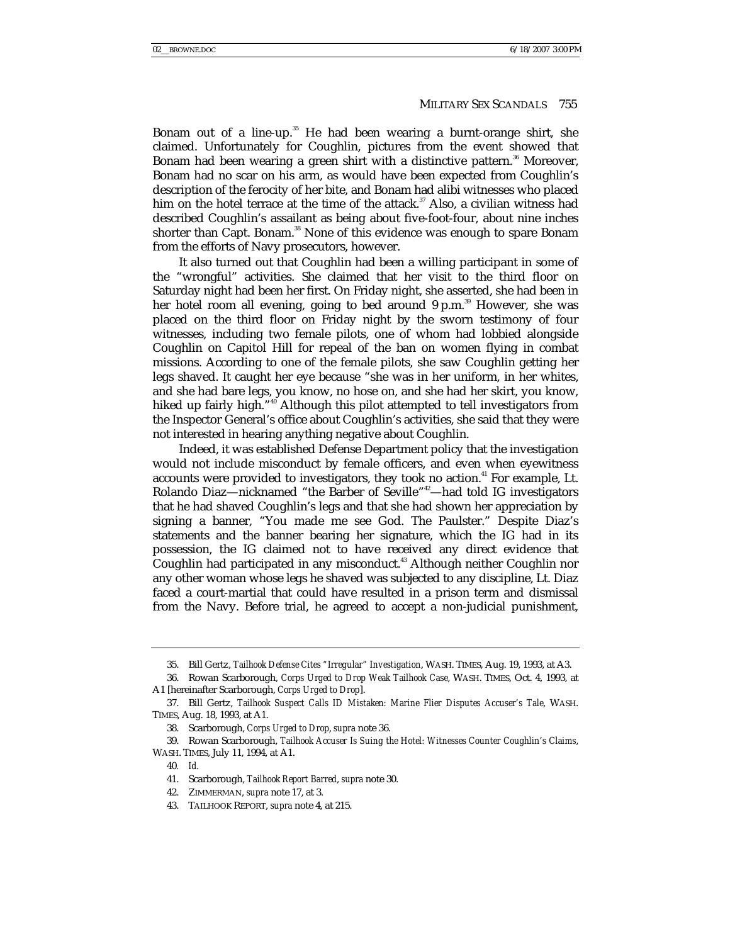Bonam out of a line-up.<sup>35</sup> He had been wearing a burnt-orange shirt, she claimed. Unfortunately for Coughlin, pictures from the event showed that Bonam had been wearing a green shirt with a distinctive pattern.<sup>36</sup> Moreover, Bonam had no scar on his arm, as would have been expected from Coughlin's description of the ferocity of her bite, and Bonam had alibi witnesses who placed him on the hotel terrace at the time of the attack. $37$  Also, a civilian witness had described Coughlin's assailant as being about five-foot-four, about nine inches shorter than Capt. Bonam.<sup>38</sup> None of this evidence was enough to spare Bonam from the efforts of Navy prosecutors, however.

It also turned out that Coughlin had been a willing participant in some of the "wrongful" activities. She claimed that her visit to the third floor on Saturday night had been her first. On Friday night, she asserted, she had been in her hotel room all evening, going to bed around  $9 \text{ p.m.}^{39}$  However, she was placed on the third floor on Friday night by the sworn testimony of four witnesses, including two female pilots, one of whom had lobbied alongside Coughlin on Capitol Hill for repeal of the ban on women flying in combat missions. According to one of the female pilots, she saw Coughlin getting her legs shaved. It caught her eye because "she was in her uniform, in her whites, and she had bare legs, you know, no hose on, and she had her skirt, you know, hiked up fairly high."<sup>40</sup> Although this pilot attempted to tell investigators from the Inspector General's office about Coughlin's activities, she said that they were not interested in hearing anything negative about Coughlin.

Indeed, it was established Defense Department policy that the investigation would not include misconduct by female officers, and even when eyewitness accounts were provided to investigators, they took no action.<sup>41</sup> For example, Lt. Rolando Diaz—nicknamed "the Barber of Seville"<sup>42</sup>—had told IG investigators that he had shaved Coughlin's legs and that she had shown her appreciation by signing a banner, "You made me see God. The Paulster." Despite Diaz's statements and the banner bearing her signature, which the IG had in its possession, the IG claimed not to have received any direct evidence that Coughlin had participated in any misconduct.<sup>43</sup> Although neither Coughlin nor any other woman whose legs he shaved was subjected to any discipline, Lt. Diaz faced a court-martial that could have resulted in a prison term and dismissal from the Navy. Before trial, he agreed to accept a non-judicial punishment,

 <sup>35.</sup> Bill Gertz, *Tailhook Defense Cites "Irregular" Investigation*, WASH. TIMES, Aug. 19, 1993, at A3.

 <sup>36.</sup> Rowan Scarborough, *Corps Urged to Drop Weak Tailhook Case*, WASH. TIMES, Oct. 4, 1993, at A1 [hereinafter Scarborough, *Corps Urged to Drop*].

 <sup>37.</sup> Bill Gertz, *Tailhook Suspect Calls ID Mistaken: Marine Flier Disputes Accuser's Tale*, WASH. TIMES, Aug. 18, 1993, at A1.

 <sup>38.</sup> Scarborough, *Corps Urged to Drop*, *supra* note 36.

 <sup>39.</sup> Rowan Scarborough, *Tailhook Accuser Is Suing the Hotel: Witnesses Counter Coughlin's Claims*, WASH. TIMES, July 11, 1994, at A1.

<sup>40</sup>*. Id.*

 <sup>41.</sup> Scarborough, *Tailhook Report Barred*, *supra* note 30.

 <sup>42.</sup> ZIMMERMAN, *supra* note 17, at 3.

 <sup>43.</sup> TAILHOOK REPORT, *supra* note 4, at 215.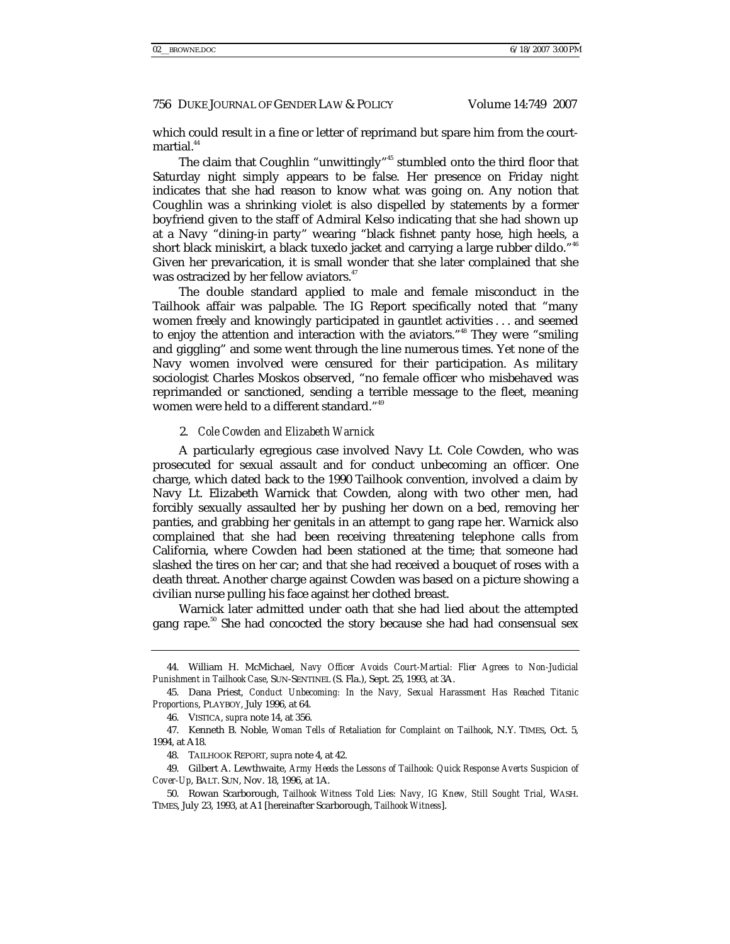which could result in a fine or letter of reprimand but spare him from the courtmartial.<sup>44</sup>

The claim that Coughlin "unwittingly"<sup>45</sup> stumbled onto the third floor that Saturday night simply appears to be false. Her presence on Friday night indicates that she had reason to know what was going on. Any notion that Coughlin was a shrinking violet is also dispelled by statements by a former boyfriend given to the staff of Admiral Kelso indicating that she had shown up at a Navy "dining-in party" wearing "black fishnet panty hose, high heels, a short black miniskirt, a black tuxedo jacket and carrying a large rubber dildo."<sup>46</sup> Given her prevarication, it is small wonder that she later complained that she was ostracized by her fellow aviators.<sup>47</sup>

The double standard applied to male and female misconduct in the Tailhook affair was palpable. The IG Report specifically noted that "many women freely and knowingly participated in gauntlet activities . . . and seemed to enjoy the attention and interaction with the aviators."48 They were "smiling and giggling" and some went through the line numerous times. Yet none of the Navy women involved were censured for their participation. As military sociologist Charles Moskos observed, "no female officer who misbehaved was reprimanded or sanctioned, sending a terrible message to the fleet, meaning women were held to a different standard."<sup>49</sup>

### 2. *Cole Cowden and Elizabeth Warnick*

A particularly egregious case involved Navy Lt. Cole Cowden, who was prosecuted for sexual assault and for conduct unbecoming an officer. One charge, which dated back to the 1990 Tailhook convention, involved a claim by Navy Lt. Elizabeth Warnick that Cowden, along with two other men, had forcibly sexually assaulted her by pushing her down on a bed, removing her panties, and grabbing her genitals in an attempt to gang rape her. Warnick also complained that she had been receiving threatening telephone calls from California, where Cowden had been stationed at the time; that someone had slashed the tires on her car; and that she had received a bouquet of roses with a death threat. Another charge against Cowden was based on a picture showing a civilian nurse pulling his face against her clothed breast.

Warnick later admitted under oath that she had lied about the attempted gang rape.<sup>50</sup> She had concocted the story because she had had consensual sex

 49. Gilbert A. Lewthwaite, *Army Heeds the Lessons of Tailhook: Quick Response Averts Suspicion of Cover-Up*, BALT. SUN, Nov. 18, 1996, at 1A.

 <sup>44.</sup> William H. McMichael, *Navy Officer Avoids Court-Martial: Flier Agrees to Non-Judicial Punishment in Tailhook Case*, SUN-SENTINEL (S. Fla.), Sept. 25, 1993, at 3A.

 <sup>45.</sup> Dana Priest, *Conduct Unbecoming: In the Navy, Sexual Harassment Has Reached Titanic Proportions*, PLAYBOY, July 1996, at 64.

 <sup>46.</sup> VISTICA, *supra* note 14, at 356.

 <sup>47.</sup> Kenneth B. Noble, *Woman Tells of Retaliation for Complaint on Tailhook*, N.Y. TIMES, Oct. 5, 1994, at A18.

 <sup>48.</sup> TAILHOOK REPORT, *supra* note 4, at 42.

 <sup>50.</sup> Rowan Scarborough, *Tailhook Witness Told Lies: Navy, IG Knew, Still Sought Trial*, WASH. TIMES, July 23, 1993, at A1 [hereinafter Scarborough, *Tailhook Witness*].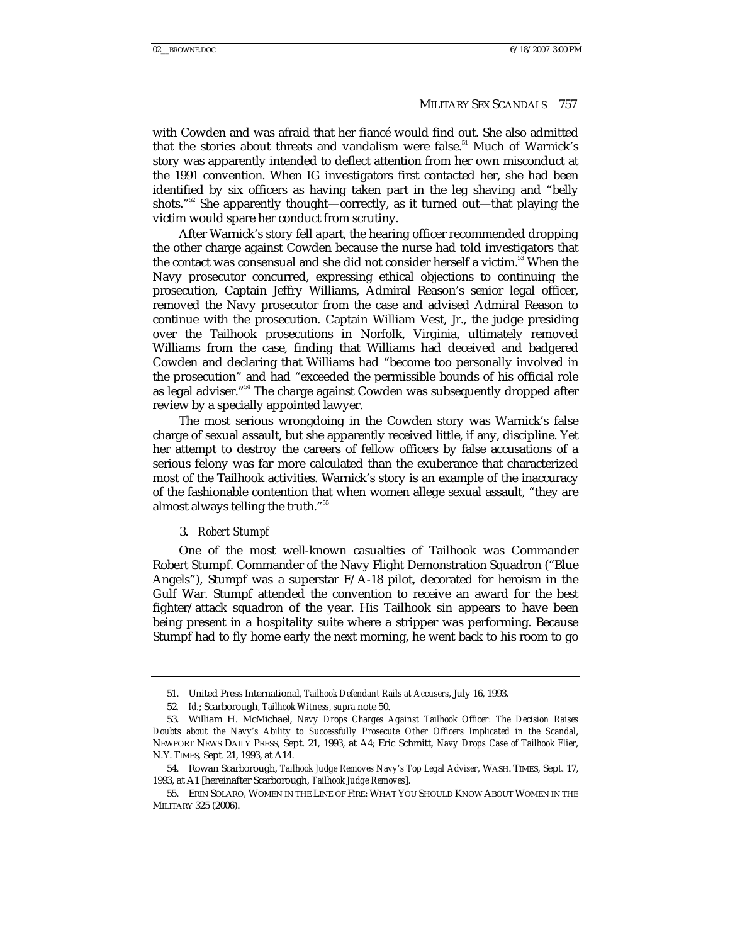with Cowden and was afraid that her fiancé would find out. She also admitted that the stories about threats and vandalism were false.<sup>51</sup> Much of Warnick's story was apparently intended to deflect attention from her own misconduct at the 1991 convention. When IG investigators first contacted her, she had been identified by six officers as having taken part in the leg shaving and "belly shots."<sup>52</sup> She apparently thought—correctly, as it turned out—that playing the victim would spare her conduct from scrutiny.

After Warnick's story fell apart, the hearing officer recommended dropping the other charge against Cowden because the nurse had told investigators that the contact was consensual and she did not consider herself a victim.<sup>53</sup> When the Navy prosecutor concurred, expressing ethical objections to continuing the prosecution, Captain Jeffry Williams, Admiral Reason's senior legal officer, removed the Navy prosecutor from the case and advised Admiral Reason to continue with the prosecution. Captain William Vest, Jr., the judge presiding over the Tailhook prosecutions in Norfolk, Virginia, ultimately removed Williams from the case, finding that Williams had deceived and badgered Cowden and declaring that Williams had "become too personally involved in the prosecution" and had "exceeded the permissible bounds of his official role as legal adviser."<sup>54</sup> The charge against Cowden was subsequently dropped after review by a specially appointed lawyer.

The most serious wrongdoing in the Cowden story was Warnick's false charge of sexual assault, but she apparently received little, if any, discipline. Yet her attempt to destroy the careers of fellow officers by false accusations of a serious felony was far more calculated than the exuberance that characterized most of the Tailhook activities. Warnick's story is an example of the inaccuracy of the fashionable contention that when women allege sexual assault, "they are almost always telling the truth."<sup>55</sup>

#### 3. *Robert Stumpf*

One of the most well-known casualties of Tailhook was Commander Robert Stumpf. Commander of the Navy Flight Demonstration Squadron ("Blue Angels"), Stumpf was a superstar F/A-18 pilot, decorated for heroism in the Gulf War. Stumpf attended the convention to receive an award for the best fighter/attack squadron of the year. His Tailhook sin appears to have been being present in a hospitality suite where a stripper was performing. Because Stumpf had to fly home early the next morning, he went back to his room to go

 <sup>51.</sup> United Press International, *Tailhook Defendant Rails at Accusers*, July 16, 1993.

<sup>52</sup>*. Id.*; Scarborough, *Tailhook Witness*, *supra* note 50.

 <sup>53.</sup> William H. McMichael, *Navy Drops Charges Against Tailhook Officer: The Decision Raises Doubts about the Navy's Ability to Successfully Prosecute Other Officers Implicated in the Scandal*, NEWPORT NEWS DAILY PRESS, Sept. 21, 1993, at A4; Eric Schmitt, *Navy Drops Case of Tailhook Flier*, N.Y. TIMES, Sept. 21, 1993, at A14.

 <sup>54.</sup> Rowan Scarborough, *Tailhook Judge Removes Navy's Top Legal Adviser*, WASH. TIMES, Sept. 17, 1993, at A1 [hereinafter Scarborough, *Tailhook Judge Removes*].

 <sup>55.</sup> ERIN SOLARO, WOMEN IN THE LINE OF FIRE: WHAT YOU SHOULD KNOW ABOUT WOMEN IN THE MILITARY 325 (2006).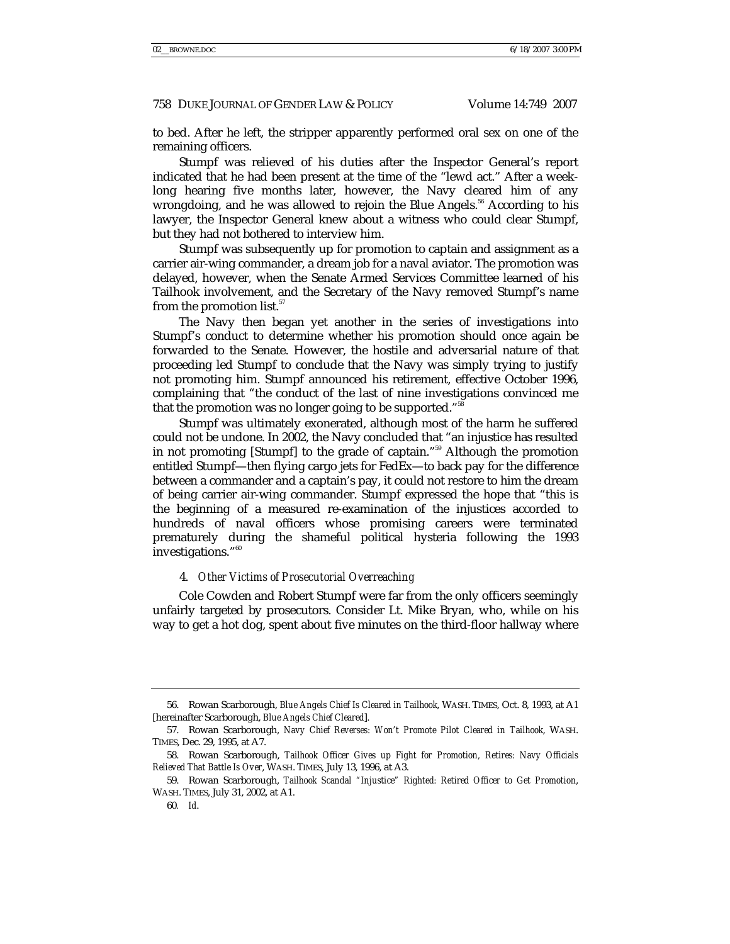to bed. After he left, the stripper apparently performed oral sex on one of the remaining officers.

Stumpf was relieved of his duties after the Inspector General's report indicated that he had been present at the time of the "lewd act." After a weeklong hearing five months later, however, the Navy cleared him of any wrongdoing, and he was allowed to rejoin the Blue Angels.<sup>56</sup> According to his lawyer, the Inspector General knew about a witness who could clear Stumpf, but they had not bothered to interview him.

Stumpf was subsequently up for promotion to captain and assignment as a carrier air-wing commander, a dream job for a naval aviator. The promotion was delayed, however, when the Senate Armed Services Committee learned of his Tailhook involvement, and the Secretary of the Navy removed Stumpf's name from the promotion list.<sup>57</sup>

The Navy then began yet another in the series of investigations into Stumpf's conduct to determine whether his promotion should once again be forwarded to the Senate. However, the hostile and adversarial nature of that proceeding led Stumpf to conclude that the Navy was simply trying to justify not promoting him. Stumpf announced his retirement, effective October 1996, complaining that "the conduct of the last of nine investigations convinced me that the promotion was no longer going to be supported."<sup>58</sup>

Stumpf was ultimately exonerated, although most of the harm he suffered could not be undone. In 2002, the Navy concluded that "an injustice has resulted in not promoting [Stumpf] to the grade of captain."59 Although the promotion entitled Stumpf—then flying cargo jets for FedEx—to back pay for the difference between a commander and a captain's pay, it could not restore to him the dream of being carrier air-wing commander. Stumpf expressed the hope that "this is the beginning of a measured re-examination of the injustices accorded to hundreds of naval officers whose promising careers were terminated prematurely during the shameful political hysteria following the 1993 investigations."<sup>60</sup>

### 4. *Other Victims of Prosecutorial Overreaching*

Cole Cowden and Robert Stumpf were far from the only officers seemingly unfairly targeted by prosecutors. Consider Lt. Mike Bryan, who, while on his way to get a hot dog, spent about five minutes on the third-floor hallway where

 <sup>56.</sup> Rowan Scarborough, *Blue Angels Chief Is Cleared in Tailhook*, WASH. TIMES, Oct. 8, 1993, at A1 [hereinafter Scarborough, *Blue Angels Chief Cleared*].

 <sup>57.</sup> Rowan Scarborough, *Navy Chief Reverses: Won't Promote Pilot Cleared in Tailhook*, WASH. TIMES, Dec. 29, 1995, at A7.

 <sup>58.</sup> Rowan Scarborough, *Tailhook Officer Gives up Fight for Promotion, Retires: Navy Officials Relieved That Battle Is Over*, WASH. TIMES, July 13, 1996, at A3.

 <sup>59.</sup> Rowan Scarborough, *Tailhook Scandal "Injustice" Righted: Retired Officer to Get Promotion*, WASH. TIMES, July 31, 2002, at A1.

<sup>60</sup>*. Id*.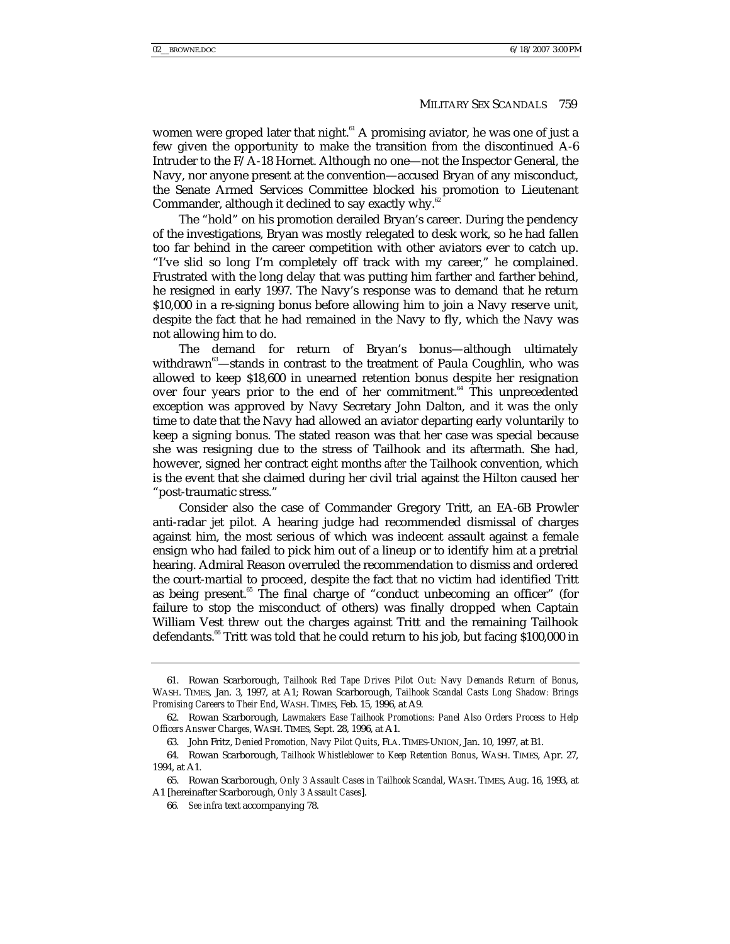women were groped later that night. $61$  A promising aviator, he was one of just a few given the opportunity to make the transition from the discontinued A-6 Intruder to the F/A-18 Hornet. Although no one—not the Inspector General, the Navy, nor anyone present at the convention—accused Bryan of any misconduct, the Senate Armed Services Committee blocked his promotion to Lieutenant Commander, although it declined to say exactly why.<sup>6</sup>

The "hold" on his promotion derailed Bryan's career. During the pendency of the investigations, Bryan was mostly relegated to desk work, so he had fallen too far behind in the career competition with other aviators ever to catch up. "I've slid so long I'm completely off track with my career," he complained. Frustrated with the long delay that was putting him farther and farther behind, he resigned in early 1997. The Navy's response was to demand that he return \$10,000 in a re-signing bonus before allowing him to join a Navy reserve unit, despite the fact that he had remained in the Navy to fly, which the Navy was not allowing him to do.

The demand for return of Bryan's bonus—although ultimately withdrawn<sup>63</sup>—stands in contrast to the treatment of Paula Coughlin, who was allowed to keep \$18,600 in unearned retention bonus despite her resignation over four years prior to the end of her commitment.<sup>64</sup> This unprecedented exception was approved by Navy Secretary John Dalton, and it was the only time to date that the Navy had allowed an aviator departing early voluntarily to keep a signing bonus. The stated reason was that her case was special because she was resigning due to the stress of Tailhook and its aftermath. She had, however, signed her contract eight months *after* the Tailhook convention, which is the event that she claimed during her civil trial against the Hilton caused her "post-traumatic stress."

Consider also the case of Commander Gregory Tritt, an EA-6B Prowler anti-radar jet pilot. A hearing judge had recommended dismissal of charges against him, the most serious of which was indecent assault against a female ensign who had failed to pick him out of a lineup or to identify him at a pretrial hearing. Admiral Reason overruled the recommendation to dismiss and ordered the court-martial to proceed, despite the fact that no victim had identified Tritt as being present.<sup>65</sup> The final charge of "conduct unbecoming an officer" (for failure to stop the misconduct of others) was finally dropped when Captain William Vest threw out the charges against Tritt and the remaining Tailhook defendants.<sup>66</sup> Tritt was told that he could return to his job, but facing \$100,000 in

 <sup>61.</sup> Rowan Scarborough, *Tailhook Red Tape Drives Pilot Out: Navy Demands Return of Bonus*, WASH. TIMES, Jan. 3, 1997, at A1; Rowan Scarborough, *Tailhook Scandal Casts Long Shadow: Brings Promising Careers to Their End*, WASH. TIMES, Feb. 15, 1996, at A9.

 <sup>62.</sup> Rowan Scarborough, *Lawmakers Ease Tailhook Promotions: Panel Also Orders Process to Help Officers Answer Charges*, WASH. TIMES, Sept. 28, 1996, at A1.

 <sup>63.</sup> John Fritz, *Denied Promotion, Navy Pilot Quits*, FLA. TIMES-UNION, Jan. 10, 1997, at B1.

 <sup>64.</sup> Rowan Scarborough, *Tailhook Whistleblower to Keep Retention Bonus*, WASH. TIMES, Apr. 27, 1994, at A1.

 <sup>65.</sup> Rowan Scarborough, *Only 3 Assault Cases in Tailhook Scandal*, WASH. TIMES, Aug. 16, 1993, at A1 [hereinafter Scarborough, *Only 3 Assault Cases*].

<sup>66</sup>*. See infra* text accompanying 78.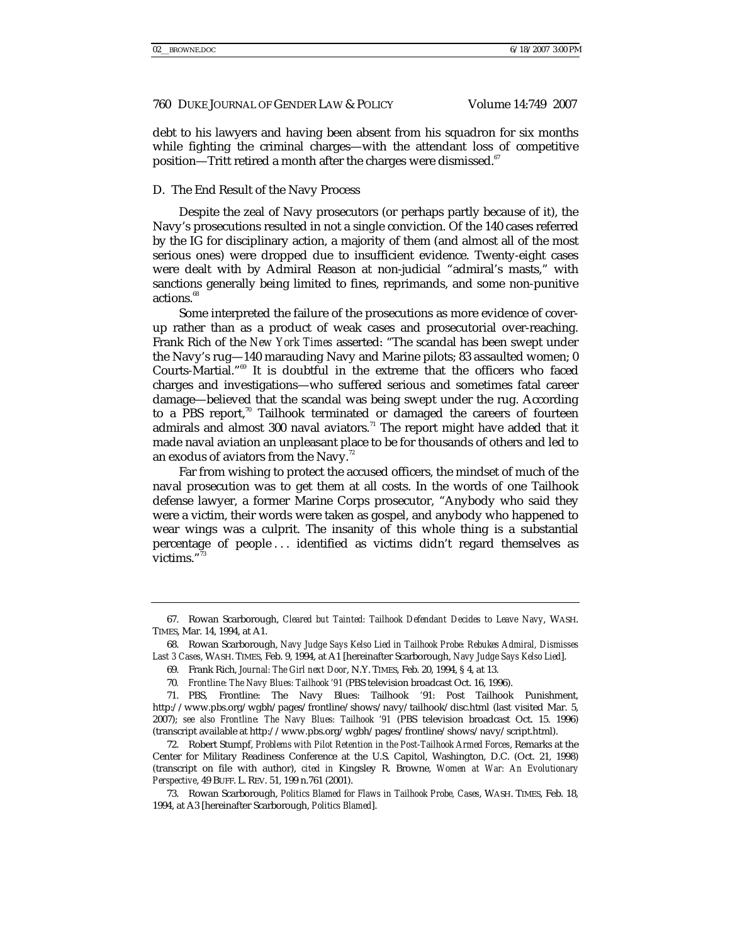debt to his lawyers and having been absent from his squadron for six months while fighting the criminal charges—with the attendant loss of competitive position—Tritt retired a month after the charges were dismissed.<sup>67</sup>

## D. The End Result of the Navy Process

Despite the zeal of Navy prosecutors (or perhaps partly because of it), the Navy's prosecutions resulted in not a single conviction. Of the 140 cases referred by the IG for disciplinary action, a majority of them (and almost all of the most serious ones) were dropped due to insufficient evidence. Twenty-eight cases were dealt with by Admiral Reason at non-judicial "admiral's masts," with sanctions generally being limited to fines, reprimands, and some non-punitive actions.<sup>68</sup>

Some interpreted the failure of the prosecutions as more evidence of coverup rather than as a product of weak cases and prosecutorial over-reaching. Frank Rich of the *New York Times* asserted: "The scandal has been swept under the Navy's rug—140 marauding Navy and Marine pilots; 83 assaulted women; 0 Courts-Martial."69 It is doubtful in the extreme that the officers who faced charges and investigations—who suffered serious and sometimes fatal career damage—believed that the scandal was being swept under the rug. According to a PBS report,<sup>70</sup> Tailhook terminated or damaged the careers of fourteen admirals and almost 300 naval aviators.<sup>71</sup> The report might have added that it made naval aviation an unpleasant place to be for thousands of others and led to an exodus of aviators from the Navy.<sup>72</sup>

Far from wishing to protect the accused officers, the mindset of much of the naval prosecution was to get them at all costs. In the words of one Tailhook defense lawyer, a former Marine Corps prosecutor, "Anybody who said they were a victim, their words were taken as gospel, and anybody who happened to wear wings was a culprit. The insanity of this whole thing is a substantial percentage of people . . . identified as victims didn't regard themselves as victims."<sup>7</sup>

 <sup>67.</sup> Rowan Scarborough, *Cleared but Tainted: Tailhook Defendant Decides to Leave Navy*, WASH. TIMES, Mar. 14, 1994, at A1.

 <sup>68.</sup> Rowan Scarborough, *Navy Judge Says Kelso Lied in Tailhook Probe: Rebukes Admiral, Dismisses Last 3 Cases*, WASH. TIMES, Feb. 9, 1994, at A1 [hereinafter Scarborough, *Navy Judge Says Kelso Lied*].

 <sup>69.</sup> Frank Rich, *Journal: The Girl next Door*, N.Y. TIMES, Feb. 20, 1994, § 4, at 13.

<sup>70</sup>*. Frontline: The Navy Blues: Tailhook '91* (PBS television broadcast Oct. 16, 1996).

 <sup>71.</sup> PBS, Frontline: The Navy Blues: Tailhook *'*91: Post Tailhook Punishment, http://www.pbs.org/wgbh/pages/frontline/shows/navy/tailhook/disc.html (last visited Mar. 5, 2007); *see also Frontline: The Navy Blues: Tailhook '91* (PBS television broadcast Oct. 15. 1996) (transcript available at http://www.pbs.org/wgbh/pages/frontline/shows/navy/script.html).

 <sup>72.</sup> Robert Stumpf, *Problems with Pilot Retention in the Post-Tailhook Armed Forces*, Remarks at the Center for Military Readiness Conference at the U.S. Capitol, Washington, D.C. (Oct. 21, 1998) (transcript on file with author), *cited in* Kingsley R. Browne, *Women at War: An Evolutionary Perspective*, 49 BUFF. L. REV. 51, 199 n.761 (2001).

 <sup>73.</sup> Rowan Scarborough, *Politics Blamed for Flaws in Tailhook Probe, Cases*, WASH. TIMES, Feb. 18, 1994, at A3 [hereinafter Scarborough, *Politics Blamed*].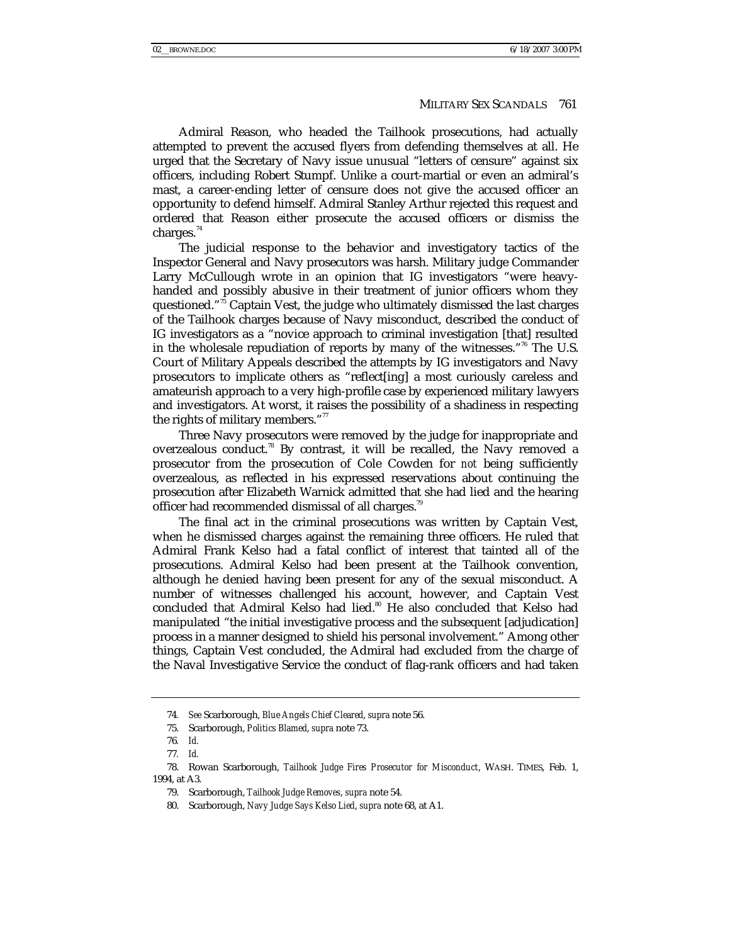Admiral Reason, who headed the Tailhook prosecutions, had actually attempted to prevent the accused flyers from defending themselves at all. He urged that the Secretary of Navy issue unusual "letters of censure" against six officers, including Robert Stumpf. Unlike a court-martial or even an admiral's mast, a career-ending letter of censure does not give the accused officer an opportunity to defend himself. Admiral Stanley Arthur rejected this request and ordered that Reason either prosecute the accused officers or dismiss the charges. $44$ 

The judicial response to the behavior and investigatory tactics of the Inspector General and Navy prosecutors was harsh. Military judge Commander Larry McCullough wrote in an opinion that IG investigators "were heavyhanded and possibly abusive in their treatment of junior officers whom they questioned."<sup>75</sup> Captain Vest, the judge who ultimately dismissed the last charges of the Tailhook charges because of Navy misconduct, described the conduct of IG investigators as a "novice approach to criminal investigation [that] resulted in the wholesale repudiation of reports by many of the witnesses."<sup>76</sup> The U.S. Court of Military Appeals described the attempts by IG investigators and Navy prosecutors to implicate others as "reflect[ing] a most curiously careless and amateurish approach to a very high-profile case by experienced military lawyers and investigators. At worst, it raises the possibility of a shadiness in respecting the rights of military members."<sup>77</sup>

Three Navy prosecutors were removed by the judge for inappropriate and overzealous conduct.<sup>78</sup> By contrast, it will be recalled, the Navy removed a prosecutor from the prosecution of Cole Cowden for *not* being sufficiently overzealous, as reflected in his expressed reservations about continuing the prosecution after Elizabeth Warnick admitted that she had lied and the hearing officer had recommended dismissal of all charges.<sup>79</sup>

The final act in the criminal prosecutions was written by Captain Vest, when he dismissed charges against the remaining three officers. He ruled that Admiral Frank Kelso had a fatal conflict of interest that tainted all of the prosecutions. Admiral Kelso had been present at the Tailhook convention, although he denied having been present for any of the sexual misconduct. A number of witnesses challenged his account, however, and Captain Vest concluded that Admiral Kelso had lied.<sup>80</sup> He also concluded that Kelso had manipulated "the initial investigative process and the subsequent [adjudication] process in a manner designed to shield his personal involvement." Among other things, Captain Vest concluded, the Admiral had excluded from the charge of the Naval Investigative Service the conduct of flag-rank officers and had taken

<sup>74</sup>*. See* Scarborough, *Blue Angels Chief Cleared*, *supra* note 56.

 <sup>75.</sup> Scarborough, *Politics Blamed*, *supra* note 73.

<sup>76</sup>*. Id.*

<sup>77</sup>*. Id.*

 <sup>78.</sup> Rowan Scarborough, *Tailhook Judge Fires Prosecutor for Misconduct*, WASH. TIMES, Feb. 1, 1994, at A3.

 <sup>79.</sup> Scarborough, *Tailhook Judge Removes*, *supra* note 54.

 <sup>80.</sup> Scarborough, *Navy Judge Says Kelso Lied*, *supra* note 68, at A1.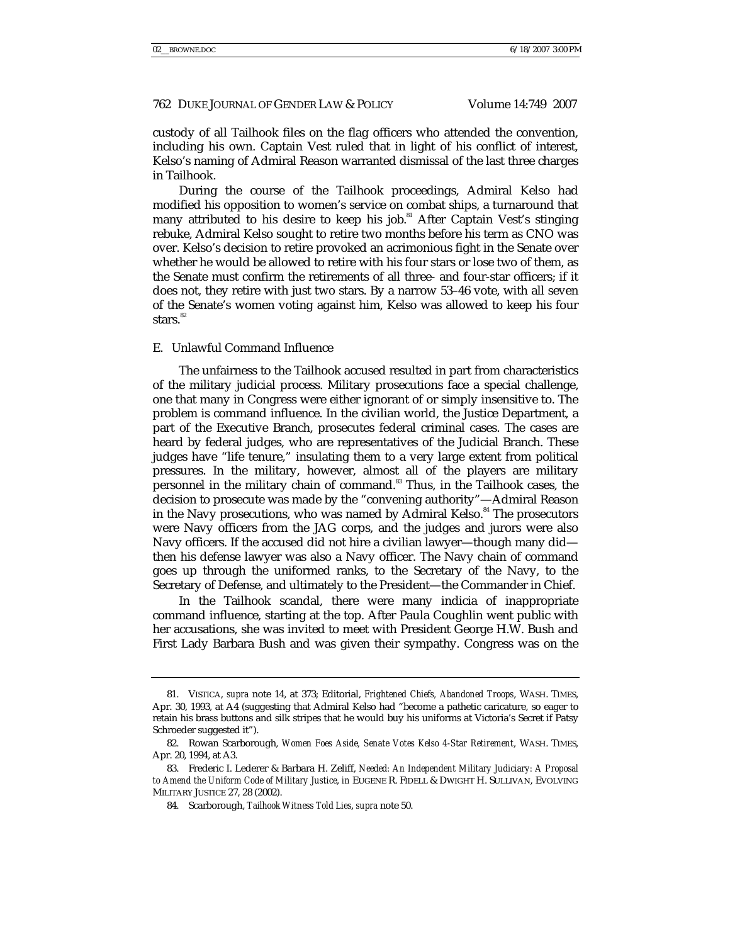custody of all Tailhook files on the flag officers who attended the convention, including his own. Captain Vest ruled that in light of his conflict of interest, Kelso's naming of Admiral Reason warranted dismissal of the last three charges in Tailhook.

During the course of the Tailhook proceedings, Admiral Kelso had modified his opposition to women's service on combat ships, a turnaround that many attributed to his desire to keep his job.<sup>81</sup> After Captain Vest's stinging rebuke, Admiral Kelso sought to retire two months before his term as CNO was over. Kelso's decision to retire provoked an acrimonious fight in the Senate over whether he would be allowed to retire with his four stars or lose two of them, as the Senate must confirm the retirements of all three- and four-star officers; if it does not, they retire with just two stars. By a narrow 53–46 vote, with all seven of the Senate's women voting against him, Kelso was allowed to keep his four stars. $82$ 

#### E. Unlawful Command Influence

The unfairness to the Tailhook accused resulted in part from characteristics of the military judicial process. Military prosecutions face a special challenge, one that many in Congress were either ignorant of or simply insensitive to. The problem is command influence. In the civilian world, the Justice Department, a part of the Executive Branch, prosecutes federal criminal cases. The cases are heard by federal judges, who are representatives of the Judicial Branch. These judges have "life tenure," insulating them to a very large extent from political pressures. In the military, however, almost all of the players are military personnel in the military chain of command.<sup>83</sup> Thus, in the Tailhook cases, the decision to prosecute was made by the "convening authority"—Admiral Reason in the Navy prosecutions, who was named by Admiral Kelso.<sup>84</sup> The prosecutors were Navy officers from the JAG corps, and the judges and jurors were also Navy officers. If the accused did not hire a civilian lawyer—though many did then his defense lawyer was also a Navy officer. The Navy chain of command goes up through the uniformed ranks, to the Secretary of the Navy, to the Secretary of Defense, and ultimately to the President—the Commander in Chief.

In the Tailhook scandal, there were many indicia of inappropriate command influence, starting at the top. After Paula Coughlin went public with her accusations, she was invited to meet with President George H.W. Bush and First Lady Barbara Bush and was given their sympathy. Congress was on the

 <sup>81.</sup> VISTICA, *supra* note 14, at 373; Editorial, *Frightened Chiefs, Abandoned Troops*, WASH. TIMES, Apr. 30, 1993, at A4 (suggesting that Admiral Kelso had "become a pathetic caricature, so eager to retain his brass buttons and silk stripes that he would buy his uniforms at Victoria's Secret if Patsy Schroeder suggested it").

 <sup>82.</sup> Rowan Scarborough, *Women Foes Aside, Senate Votes Kelso 4-Star Retirement*, WASH. TIMES, Apr. 20, 1994, at A3.

 <sup>83.</sup> Frederic I. Lederer & Barbara H. Zeliff, *Needed: An Independent Military Judiciary: A Proposal to Amend the Uniform Code of Military Justice*, *in* EUGENE R. FIDELL & DWIGHT H. SULLIVAN, EVOLVING MILITARY JUSTICE 27, 28 (2002).

 <sup>84.</sup> Scarborough, *Tailhook Witness Told Lies*, *supra* note 50.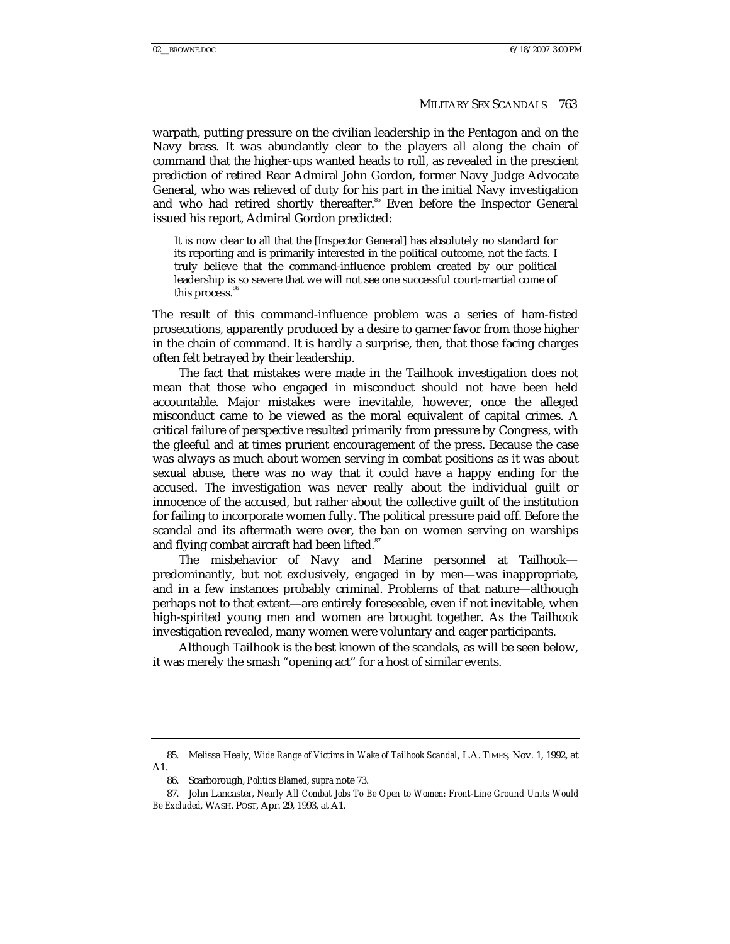warpath, putting pressure on the civilian leadership in the Pentagon and on the Navy brass. It was abundantly clear to the players all along the chain of command that the higher-ups wanted heads to roll, as revealed in the prescient prediction of retired Rear Admiral John Gordon, former Navy Judge Advocate General, who was relieved of duty for his part in the initial Navy investigation and who had retired shortly thereafter.<sup>85</sup> Even before the Inspector General issued his report, Admiral Gordon predicted:

It is now clear to all that the [Inspector General] has absolutely no standard for its reporting and is primarily interested in the political outcome, not the facts. I truly believe that the command-influence problem created by our political leadership is so severe that we will not see one successful court-martial come of this process.<sup>86</sup>

The result of this command-influence problem was a series of ham-fisted prosecutions, apparently produced by a desire to garner favor from those higher in the chain of command. It is hardly a surprise, then, that those facing charges often felt betrayed by their leadership.

The fact that mistakes were made in the Tailhook investigation does not mean that those who engaged in misconduct should not have been held accountable. Major mistakes were inevitable, however, once the alleged misconduct came to be viewed as the moral equivalent of capital crimes. A critical failure of perspective resulted primarily from pressure by Congress, with the gleeful and at times prurient encouragement of the press. Because the case was always as much about women serving in combat positions as it was about sexual abuse, there was no way that it could have a happy ending for the accused. The investigation was never really about the individual guilt or innocence of the accused, but rather about the collective guilt of the institution for failing to incorporate women fully. The political pressure paid off. Before the scandal and its aftermath were over, the ban on women serving on warships and flying combat aircraft had been lifted.<sup>87</sup>

The misbehavior of Navy and Marine personnel at Tailhook predominantly, but not exclusively, engaged in by men—was inappropriate, and in a few instances probably criminal. Problems of that nature—although perhaps not to that extent—are entirely foreseeable, even if not inevitable, when high-spirited young men and women are brought together. As the Tailhook investigation revealed, many women were voluntary and eager participants.

Although Tailhook is the best known of the scandals, as will be seen below, it was merely the smash "opening act" for a host of similar events.

 <sup>85.</sup> Melissa Healy, *Wide Range of Victims in Wake of Tailhook Scandal*, L.A. TIMES, Nov. 1, 1992, at A1.

 <sup>86.</sup> Scarborough, *Politics Blamed*, *supra* note 73.

 <sup>87.</sup> John Lancaster, *Nearly All Combat Jobs To Be Open to Women: Front-Line Ground Units Would Be Excluded*, WASH. POST, Apr. 29, 1993, at A1.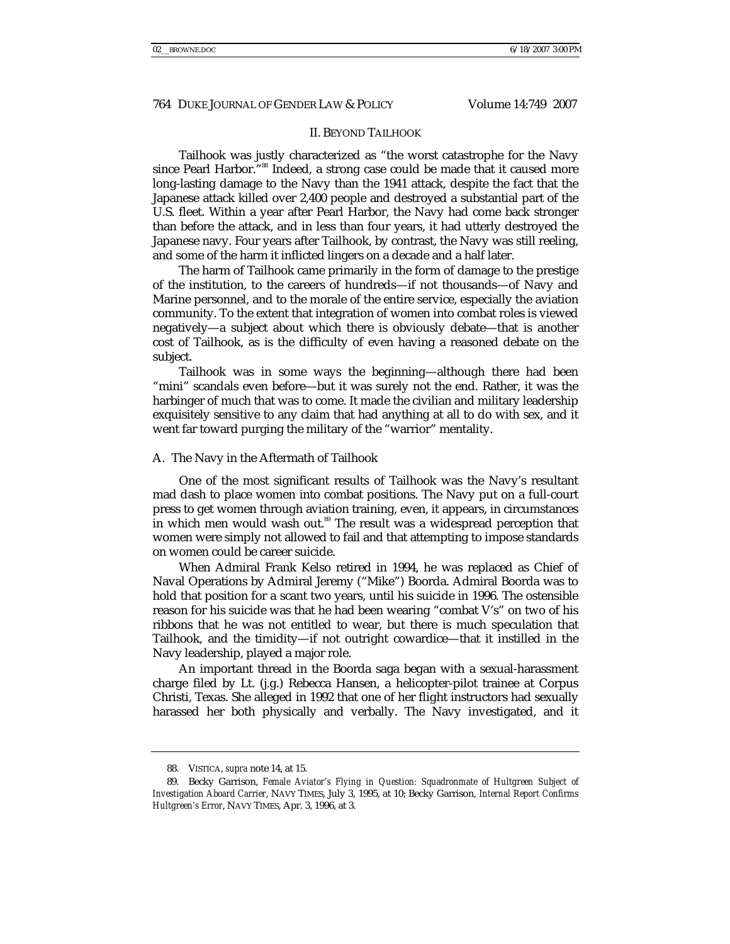#### II. BEYOND TAILHOOK

Tailhook was justly characterized as "the worst catastrophe for the Navy since Pearl Harbor."<sup>88</sup> Indeed, a strong case could be made that it caused more long-lasting damage to the Navy than the 1941 attack, despite the fact that the Japanese attack killed over 2,400 people and destroyed a substantial part of the U.S. fleet. Within a year after Pearl Harbor, the Navy had come back stronger than before the attack, and in less than four years, it had utterly destroyed the Japanese navy. Four years after Tailhook, by contrast, the Navy was still reeling, and some of the harm it inflicted lingers on a decade and a half later.

The harm of Tailhook came primarily in the form of damage to the prestige of the institution, to the careers of hundreds—if not thousands—of Navy and Marine personnel, and to the morale of the entire service, especially the aviation community. To the extent that integration of women into combat roles is viewed negatively—a subject about which there is obviously debate—that is another cost of Tailhook, as is the difficulty of even having a reasoned debate on the subject.

Tailhook was in some ways the beginning—although there had been "mini" scandals even before—but it was surely not the end. Rather, it was the harbinger of much that was to come. It made the civilian and military leadership exquisitely sensitive to any claim that had anything at all to do with sex, and it went far toward purging the military of the "warrior" mentality.

#### A. The Navy in the Aftermath of Tailhook

One of the most significant results of Tailhook was the Navy's resultant mad dash to place women into combat positions. The Navy put on a full-court press to get women through aviation training, even, it appears, in circumstances in which men would wash out.<sup>89</sup> The result was a widespread perception that women were simply not allowed to fail and that attempting to impose standards on women could be career suicide.

When Admiral Frank Kelso retired in 1994, he was replaced as Chief of Naval Operations by Admiral Jeremy ("Mike") Boorda. Admiral Boorda was to hold that position for a scant two years, until his suicide in 1996. The ostensible reason for his suicide was that he had been wearing "combat V's" on two of his ribbons that he was not entitled to wear, but there is much speculation that Tailhook, and the timidity—if not outright cowardice—that it instilled in the Navy leadership, played a major role.

An important thread in the Boorda saga began with a sexual-harassment charge filed by Lt. (j.g.) Rebecca Hansen, a helicopter-pilot trainee at Corpus Christi, Texas. She alleged in 1992 that one of her flight instructors had sexually harassed her both physically and verbally. The Navy investigated, and it

 <sup>88.</sup> VISTICA, *supra* note 14, at 15.

 <sup>89.</sup> Becky Garrison, *Female Aviator's Flying in Question: Squadronmate of Hultgreen Subject of Investigation Aboard Carrier*, NAVY TIMES, July 3, 1995, at 10; Becky Garrison, *Internal Report Confirms Hultgreen's Error*, NAVY TIMES, Apr. 3, 1996, at 3.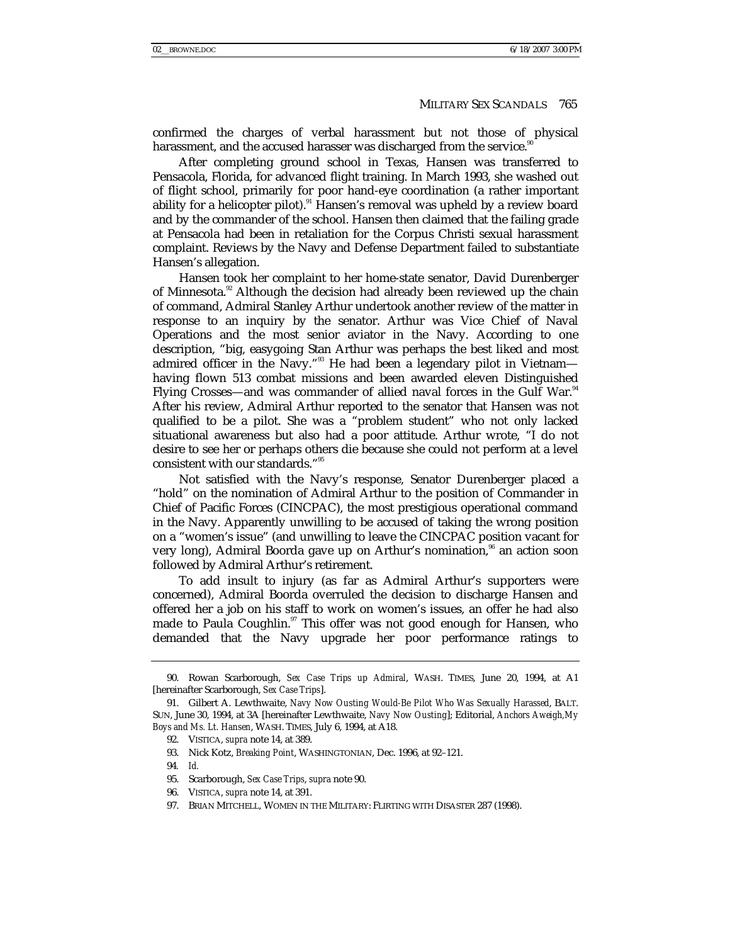confirmed the charges of verbal harassment but not those of physical harassment, and the accused harasser was discharged from the service.<sup>8</sup>

After completing ground school in Texas, Hansen was transferred to Pensacola, Florida, for advanced flight training. In March 1993, she washed out of flight school, primarily for poor hand-eye coordination (a rather important ability for a helicopter pilot).<sup>91</sup> Hansen's removal was upheld by a review board and by the commander of the school. Hansen then claimed that the failing grade at Pensacola had been in retaliation for the Corpus Christi sexual harassment complaint. Reviews by the Navy and Defense Department failed to substantiate Hansen's allegation.

Hansen took her complaint to her home-state senator, David Durenberger of Minnesota.<sup>92</sup> Although the decision had already been reviewed up the chain of command, Admiral Stanley Arthur undertook another review of the matter in response to an inquiry by the senator. Arthur was Vice Chief of Naval Operations and the most senior aviator in the Navy. According to one description, "big, easygoing Stan Arthur was perhaps the best liked and most admired officer in the Navy."<sup>93</sup> He had been a legendary pilot in Vietnam having flown 513 combat missions and been awarded eleven Distinguished Flying Crosses—and was commander of allied naval forces in the Gulf War.<sup>94</sup> After his review, Admiral Arthur reported to the senator that Hansen was not qualified to be a pilot. She was a "problem student" who not only lacked situational awareness but also had a poor attitude. Arthur wrote, "I do not desire to see her or perhaps others die because she could not perform at a level consistent with our standards."<sup>95</sup>

Not satisfied with the Navy's response, Senator Durenberger placed a "hold" on the nomination of Admiral Arthur to the position of Commander in Chief of Pacific Forces (CINCPAC), the most prestigious operational command in the Navy. Apparently unwilling to be accused of taking the wrong position on a "women's issue" (and unwilling to leave the CINCPAC position vacant for very long), Admiral Boorda gave up on Arthur's nomination,<sup>96</sup> an action soon followed by Admiral Arthur's retirement.

To add insult to injury (as far as Admiral Arthur's supporters were concerned), Admiral Boorda overruled the decision to discharge Hansen and offered her a job on his staff to work on women's issues, an offer he had also made to Paula Coughlin.<sup>97</sup> This offer was not good enough for Hansen, who demanded that the Navy upgrade her poor performance ratings to

 <sup>90.</sup> Rowan Scarborough, *Sex Case Trips up Admiral*, WASH. TIMES, June 20, 1994, at A1 [hereinafter Scarborough, *Sex Case Trips*].

 <sup>91.</sup> Gilbert A. Lewthwaite, *Navy Now Ousting Would-Be Pilot Who Was Sexually Harassed*, BALT. SUN, June 30, 1994, at 3A [hereinafter Lewthwaite, *Navy Now Ousting*]; Editorial, *Anchors Aweigh,My Boys and Ms. Lt. Hansen*, WASH. TIMES, July 6, 1994, at A18.

 <sup>92.</sup> VISTICA, *supra* note 14, at 389.

 <sup>93.</sup> Nick Kotz, *Breaking Point*, WASHINGTONIAN, Dec. 1996, at 92–121.

<sup>94</sup>*. Id.*

 <sup>95.</sup> Scarborough, *Sex Case Trips*, *supra* note 90.

 <sup>96.</sup> VISTICA, *supra* note 14, at 391.

 <sup>97.</sup> BRIAN MITCHELL, WOMEN IN THE MILITARY: FLIRTING WITH DISASTER 287 (1998).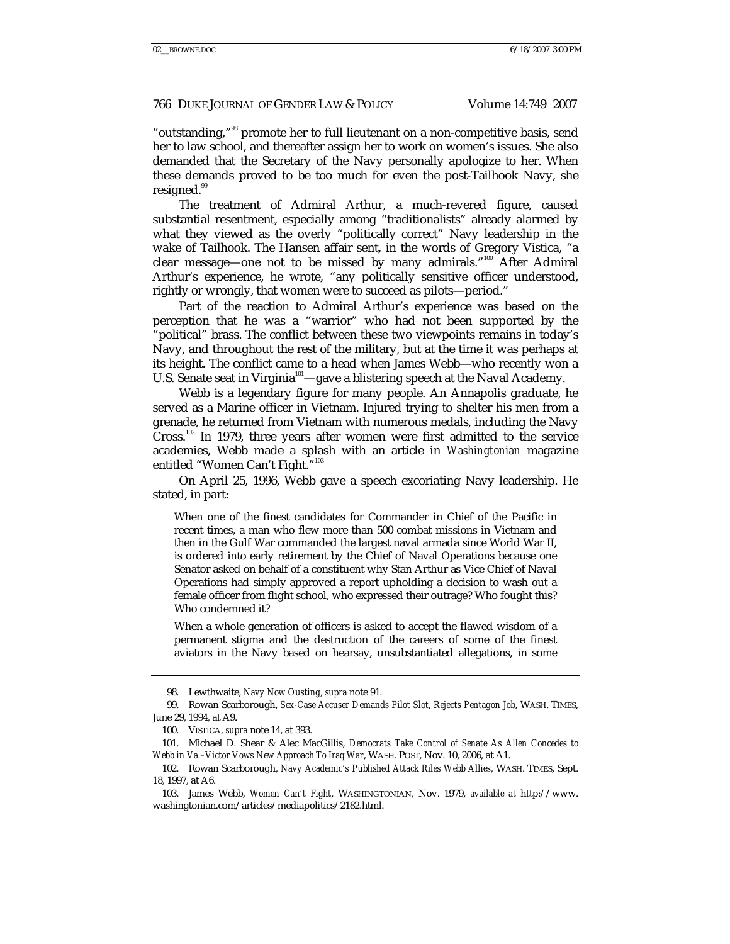"outstanding,"98 promote her to full lieutenant on a non-competitive basis, send her to law school, and thereafter assign her to work on women's issues. She also demanded that the Secretary of the Navy personally apologize to her. When these demands proved to be too much for even the post-Tailhook Navy, she resigned.<sup>99</sup>

The treatment of Admiral Arthur, a much-revered figure, caused substantial resentment, especially among "traditionalists" already alarmed by what they viewed as the overly "politically correct" Navy leadership in the wake of Tailhook. The Hansen affair sent, in the words of Gregory Vistica, "a clear message—one not to be missed by many admirals."<sup>100</sup> After Admiral Arthur's experience, he wrote, "any politically sensitive officer understood, rightly or wrongly, that women were to succeed as pilots—period."

Part of the reaction to Admiral Arthur's experience was based on the perception that he was a "warrior" who had not been supported by the "political" brass. The conflict between these two viewpoints remains in today's Navy, and throughout the rest of the military, but at the time it was perhaps at its height. The conflict came to a head when James Webb—who recently won a U.S. Senate seat in Virginia<sup>101</sup>—gave a blistering speech at the Naval Academy.

Webb is a legendary figure for many people. An Annapolis graduate, he served as a Marine officer in Vietnam. Injured trying to shelter his men from a grenade, he returned from Vietnam with numerous medals, including the Navy Cross.102 In 1979, three years after women were first admitted to the service academies, Webb made a splash with an article in *Washingtonian* magazine entitled "Women Can't Fight."<sup>103</sup>

On April 25, 1996, Webb gave a speech excoriating Navy leadership. He stated, in part:

When one of the finest candidates for Commander in Chief of the Pacific in recent times, a man who flew more than 500 combat missions in Vietnam and then in the Gulf War commanded the largest naval armada since World War II, is ordered into early retirement by the Chief of Naval Operations because one Senator asked on behalf of a constituent why Stan Arthur as Vice Chief of Naval Operations had simply approved a report upholding a decision to wash out a female officer from flight school, who expressed their outrage? Who fought this? Who condemned it?

When a whole generation of officers is asked to accept the flawed wisdom of a permanent stigma and the destruction of the careers of some of the finest aviators in the Navy based on hearsay, unsubstantiated allegations, in some

 <sup>98.</sup> Lewthwaite, *Navy Now Ousting*, *supra* note 91.

 <sup>99.</sup> Rowan Scarborough, *Sex-Case Accuser Demands Pilot Slot, Rejects Pentagon Job*, WASH. TIMES, June 29, 1994, at A9.

 <sup>100.</sup> VISTICA, *supra* note 14, at 393.

 <sup>101.</sup> Michael D. Shear & Alec MacGillis, *Democrats Take Control of Senate As Allen Concedes to Webb in Va.–Victor Vows New Approach To Iraq War*, WASH. POST, Nov. 10, 2006, at A1.

 <sup>102.</sup> Rowan Scarborough, *Navy Academic's Published Attack Riles Webb Allies*, WASH. TIMES, Sept. 18, 1997, at A6.

 <sup>103.</sup> James Webb, *Women Can't Fight*, WASHINGTONIAN, Nov. 1979, *available at* http://www. washingtonian.com/articles/mediapolitics/2182.html.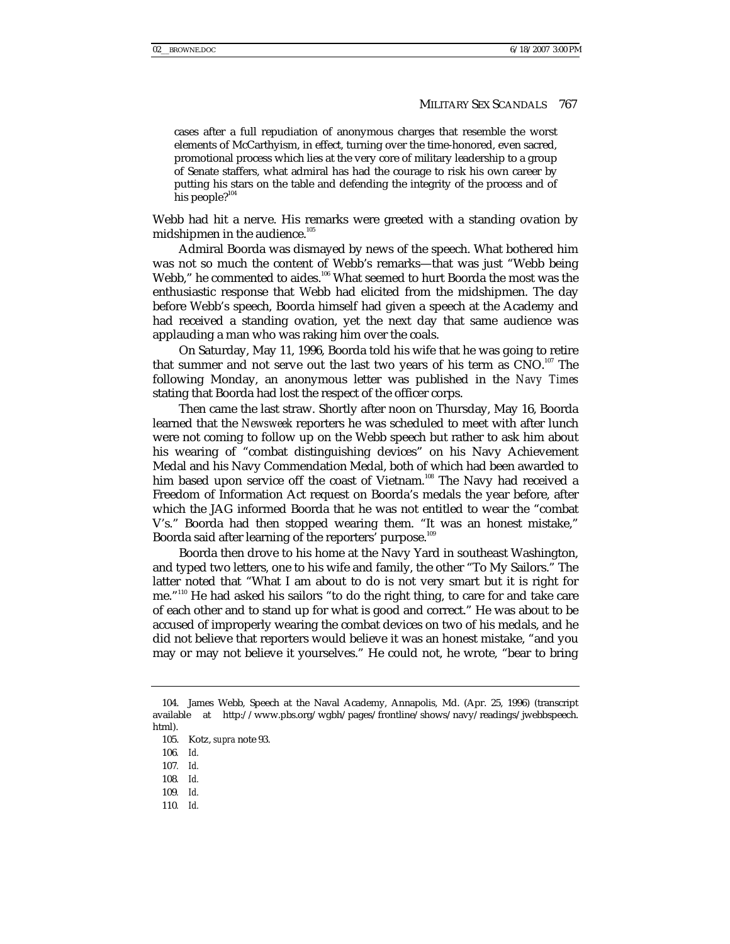cases after a full repudiation of anonymous charges that resemble the worst elements of McCarthyism, in effect, turning over the time-honored, even sacred, promotional process which lies at the very core of military leadership to a group of Senate staffers, what admiral has had the courage to risk his own career by putting his stars on the table and defending the integrity of the process and of his people? $104$ 

Webb had hit a nerve. His remarks were greeted with a standing ovation by midshipmen in the audience.<sup>105</sup>

Admiral Boorda was dismayed by news of the speech. What bothered him was not so much the content of Webb's remarks—that was just "Webb being Webb," he commented to aides.<sup>106</sup> What seemed to hurt Boorda the most was the enthusiastic response that Webb had elicited from the midshipmen. The day before Webb's speech, Boorda himself had given a speech at the Academy and had received a standing ovation, yet the next day that same audience was applauding a man who was raking him over the coals.

On Saturday, May 11, 1996, Boorda told his wife that he was going to retire that summer and not serve out the last two years of his term as  $CNO$ .<sup>107</sup> The following Monday, an anonymous letter was published in the *Navy Times* stating that Boorda had lost the respect of the officer corps.

Then came the last straw. Shortly after noon on Thursday, May 16, Boorda learned that the *Newsweek* reporters he was scheduled to meet with after lunch were not coming to follow up on the Webb speech but rather to ask him about his wearing of "combat distinguishing devices" on his Navy Achievement Medal and his Navy Commendation Medal, both of which had been awarded to him based upon service off the coast of Vietnam.<sup>108</sup> The Navy had received a Freedom of Information Act request on Boorda's medals the year before, after which the JAG informed Boorda that he was not entitled to wear the "combat V's." Boorda had then stopped wearing them. "It was an honest mistake," Boorda said after learning of the reporters' purpose.<sup>109</sup>

Boorda then drove to his home at the Navy Yard in southeast Washington, and typed two letters, one to his wife and family, the other "To My Sailors." The latter noted that "What I am about to do is not very smart but it is right for me."110 He had asked his sailors "to do the right thing, to care for and take care of each other and to stand up for what is good and correct." He was about to be accused of improperly wearing the combat devices on two of his medals, and he did not believe that reporters would believe it was an honest mistake, "and you may or may not believe it yourselves." He could not, he wrote, "bear to bring

110*. Id.*

 <sup>104.</sup> James Webb, Speech at the Naval Academy, Annapolis, Md. (Apr. 25, 1996) (transcript available at http://www.pbs.org/wgbh/pages/frontline/shows/navy/readings/jwebbspeech. html).

 <sup>105.</sup> Kotz, *supra* note 93.

<sup>106</sup>*. Id.*

<sup>107</sup>*. Id.*

<sup>108</sup>*. Id.*

<sup>109</sup>*. Id.*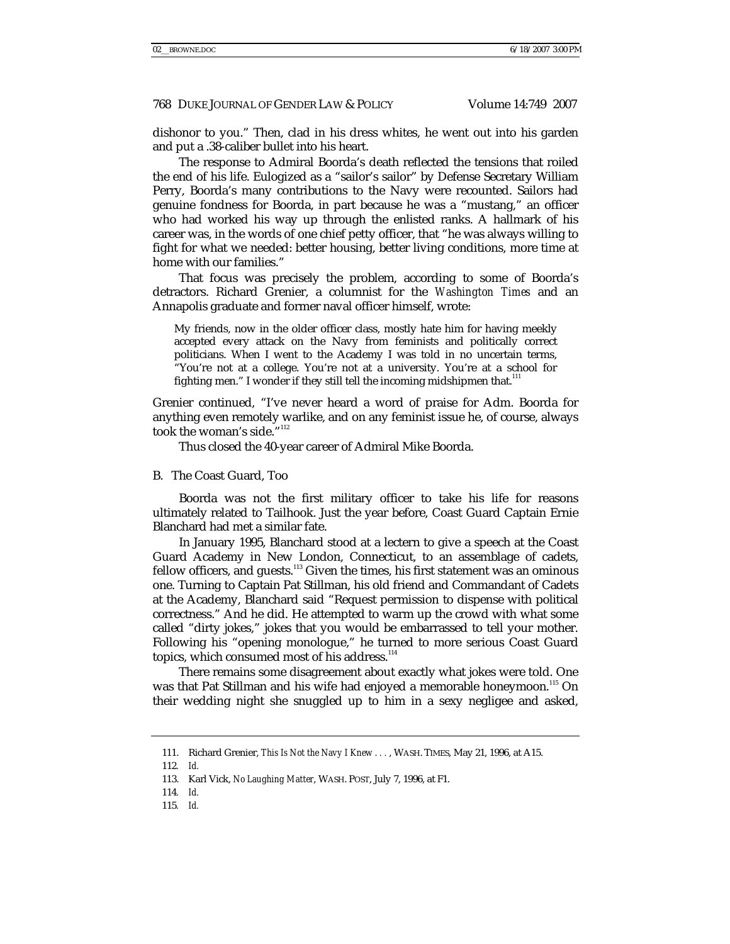dishonor to you." Then, clad in his dress whites, he went out into his garden and put a .38-caliber bullet into his heart.

The response to Admiral Boorda's death reflected the tensions that roiled the end of his life. Eulogized as a "sailor's sailor" by Defense Secretary William Perry, Boorda's many contributions to the Navy were recounted. Sailors had genuine fondness for Boorda, in part because he was a "mustang," an officer who had worked his way up through the enlisted ranks. A hallmark of his career was, in the words of one chief petty officer, that "he was always willing to fight for what we needed: better housing, better living conditions, more time at home with our families."

That focus was precisely the problem, according to some of Boorda's detractors. Richard Grenier, a columnist for the *Washington Times* and an Annapolis graduate and former naval officer himself, wrote:

My friends, now in the older officer class, mostly hate him for having meekly accepted every attack on the Navy from feminists and politically correct politicians. When I went to the Academy I was told in no uncertain terms, "You're not at a college. You're not at a university. You're at a school for fighting men." I wonder if they still tell the incoming midshipmen that. $111$ 

Grenier continued, "I've never heard a word of praise for Adm. Boorda for anything even remotely warlike, and on any feminist issue he, of course, always took the woman's side."<sup>112</sup>

Thus closed the 40-year career of Admiral Mike Boorda.

#### B. The Coast Guard, Too

Boorda was not the first military officer to take his life for reasons ultimately related to Tailhook. Just the year before, Coast Guard Captain Ernie Blanchard had met a similar fate.

In January 1995, Blanchard stood at a lectern to give a speech at the Coast Guard Academy in New London, Connecticut, to an assemblage of cadets, fellow officers, and guests.<sup>113</sup> Given the times, his first statement was an ominous one. Turning to Captain Pat Stillman, his old friend and Commandant of Cadets at the Academy, Blanchard said "Request permission to dispense with political correctness." And he did. He attempted to warm up the crowd with what some called "dirty jokes," jokes that you would be embarrassed to tell your mother. Following his "opening monologue," he turned to more serious Coast Guard topics, which consumed most of his address.<sup>114</sup>

There remains some disagreement about exactly what jokes were told. One was that Pat Stillman and his wife had enjoyed a memorable honeymoon.<sup>115</sup> On their wedding night she snuggled up to him in a sexy negligee and asked,

 <sup>111.</sup> Richard Grenier, *This Is Not the Navy I Knew . . .* , WASH. TIMES, May 21, 1996, at A15.

<sup>112</sup>*. Id.*

 <sup>113.</sup> Karl Vick, *No Laughing Matter*, WASH. POST, July 7, 1996, at F1.

<sup>114</sup>*. Id.*

<sup>115</sup>*. Id.*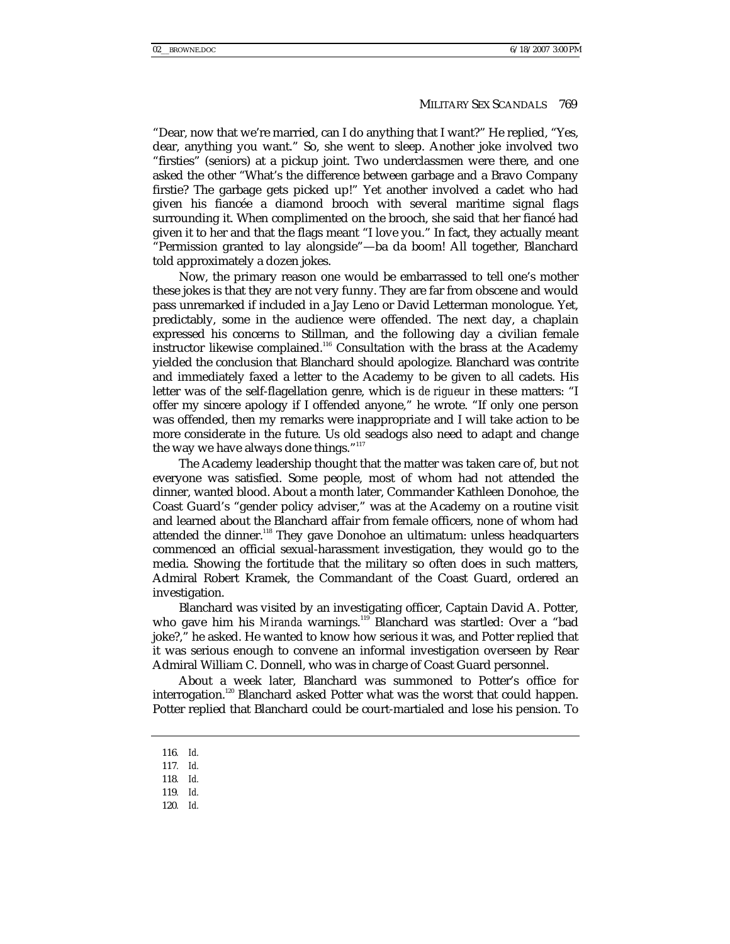"Dear, now that we're married, can I do anything that I want?" He replied, "Yes, dear, anything you want." So, she went to sleep. Another joke involved two "firsties" (seniors) at a pickup joint. Two underclassmen were there, and one asked the other "What's the difference between garbage and a Bravo Company firstie? The garbage gets picked up!" Yet another involved a cadet who had given his fiancée a diamond brooch with several maritime signal flags surrounding it. When complimented on the brooch, she said that her fiancé had given it to her and that the flags meant "I love you." In fact, they actually meant "Permission granted to lay alongside"—ba da boom! All together, Blanchard told approximately a dozen jokes.

Now, the primary reason one would be embarrassed to tell one's mother these jokes is that they are not very funny. They are far from obscene and would pass unremarked if included in a Jay Leno or David Letterman monologue. Yet, predictably, some in the audience were offended. The next day, a chaplain expressed his concerns to Stillman, and the following day a civilian female instructor likewise complained.116 Consultation with the brass at the Academy yielded the conclusion that Blanchard should apologize. Blanchard was contrite and immediately faxed a letter to the Academy to be given to all cadets. His letter was of the self-flagellation genre, which is *de rigueur* in these matters: "I offer my sincere apology if I offended anyone," he wrote. "If only one person was offended, then my remarks were inappropriate and I will take action to be more considerate in the future. Us old seadogs also need to adapt and change the way we have always done things."<sup>117</sup>

The Academy leadership thought that the matter was taken care of, but not everyone was satisfied. Some people, most of whom had not attended the dinner, wanted blood. About a month later, Commander Kathleen Donohoe, the Coast Guard's "gender policy adviser," was at the Academy on a routine visit and learned about the Blanchard affair from female officers, none of whom had attended the dinner.<sup>118</sup> They gave Donohoe an ultimatum: unless headquarters commenced an official sexual-harassment investigation, they would go to the media. Showing the fortitude that the military so often does in such matters, Admiral Robert Kramek, the Commandant of the Coast Guard, ordered an investigation.

Blanchard was visited by an investigating officer, Captain David A. Potter, who gave him his Miranda warnings.<sup>119</sup> Blanchard was startled: Over a "bad joke?," he asked. He wanted to know how serious it was, and Potter replied that it was serious enough to convene an informal investigation overseen by Rear Admiral William C. Donnell, who was in charge of Coast Guard personnel.

About a week later, Blanchard was summoned to Potter's office for interrogation.<sup>120</sup> Blanchard asked Potter what was the worst that could happen. Potter replied that Blanchard could be court-martialed and lose his pension. To

120*. Id.*

<sup>116</sup>*. Id.*

<sup>117</sup>*. Id.*

<sup>118</sup>*. Id.*

<sup>119</sup>*. Id.*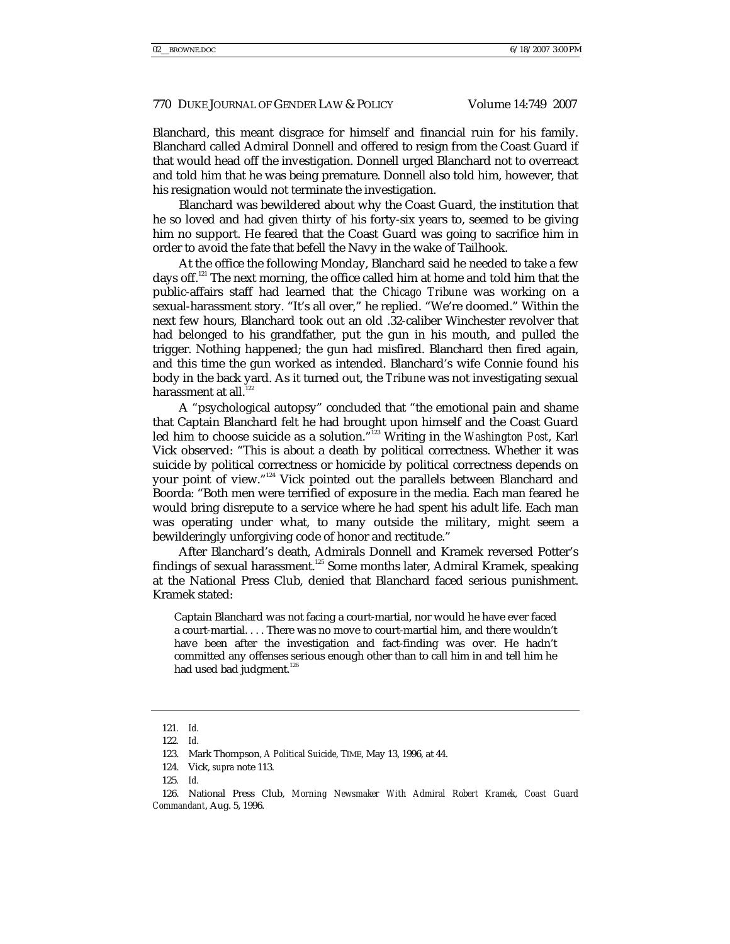Blanchard, this meant disgrace for himself and financial ruin for his family. Blanchard called Admiral Donnell and offered to resign from the Coast Guard if that would head off the investigation. Donnell urged Blanchard not to overreact and told him that he was being premature. Donnell also told him, however, that his resignation would not terminate the investigation.

Blanchard was bewildered about why the Coast Guard, the institution that he so loved and had given thirty of his forty-six years to, seemed to be giving him no support. He feared that the Coast Guard was going to sacrifice him in order to avoid the fate that befell the Navy in the wake of Tailhook.

At the office the following Monday, Blanchard said he needed to take a few days off.<sup>121</sup> The next morning, the office called him at home and told him that the public-affairs staff had learned that the *Chicago Tribune* was working on a sexual-harassment story. "It's all over," he replied. "We're doomed." Within the next few hours, Blanchard took out an old .32-caliber Winchester revolver that had belonged to his grandfather, put the gun in his mouth, and pulled the trigger. Nothing happened; the gun had misfired. Blanchard then fired again, and this time the gun worked as intended. Blanchard's wife Connie found his body in the back yard. As it turned out, the *Tribune* was not investigating sexual harassment at all.<sup>122</sup>

A "psychological autopsy" concluded that "the emotional pain and shame that Captain Blanchard felt he had brought upon himself and the Coast Guard led him to choose suicide as a solution."<sup>123</sup> Writing in the *Washington Post*, Karl Vick observed: "This is about a death by political correctness. Whether it was suicide by political correctness or homicide by political correctness depends on your point of view."<sup>124</sup> Vick pointed out the parallels between Blanchard and Boorda: "Both men were terrified of exposure in the media. Each man feared he would bring disrepute to a service where he had spent his adult life. Each man was operating under what, to many outside the military, might seem a bewilderingly unforgiving code of honor and rectitude."

After Blanchard's death, Admirals Donnell and Kramek reversed Potter's findings of sexual harassment.<sup>125</sup> Some months later, Admiral Kramek, speaking at the National Press Club, denied that Blanchard faced serious punishment. Kramek stated:

Captain Blanchard was not facing a court-martial, nor would he have ever faced a court-martial. . . . There was no move to court-martial him, and there wouldn't have been after the investigation and fact-finding was over. He hadn't committed any offenses serious enough other than to call him in and tell him he had used bad judgment.<sup>126</sup>

<sup>121</sup>*. Id.*

<sup>122</sup>*. Id.*

 <sup>123.</sup> Mark Thompson, *A Political Suicide*, TIME, May 13, 1996, at 44.

 <sup>124.</sup> Vick, *supra* note 113.

<sup>125</sup>*. Id.*

 <sup>126.</sup> National Press Club, *Morning Newsmaker With Admiral Robert Kramek, Coast Guard Commandant*, Aug. 5, 1996.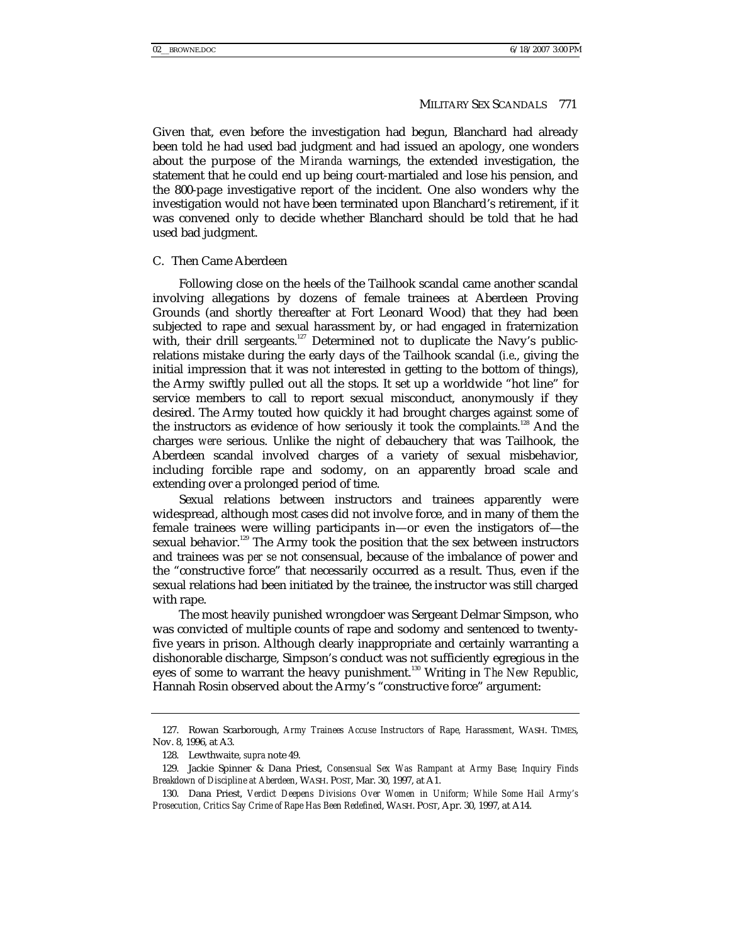Given that, even before the investigation had begun, Blanchard had already been told he had used bad judgment and had issued an apology, one wonders about the purpose of the *Miranda* warnings, the extended investigation, the statement that he could end up being court-martialed and lose his pension, and the 800-page investigative report of the incident. One also wonders why the investigation would not have been terminated upon Blanchard's retirement, if it was convened only to decide whether Blanchard should be told that he had used bad judgment.

## C. Then Came Aberdeen

Following close on the heels of the Tailhook scandal came another scandal involving allegations by dozens of female trainees at Aberdeen Proving Grounds (and shortly thereafter at Fort Leonard Wood) that they had been subjected to rape and sexual harassment by, or had engaged in fraternization with, their drill sergeants.<sup>127</sup> Determined not to duplicate the Navy's publicrelations mistake during the early days of the Tailhook scandal (*i.e*., giving the initial impression that it was not interested in getting to the bottom of things), the Army swiftly pulled out all the stops. It set up a worldwide "hot line" for service members to call to report sexual misconduct, anonymously if they desired. The Army touted how quickly it had brought charges against some of the instructors as evidence of how seriously it took the complaints.<sup>128</sup> And the charges *were* serious. Unlike the night of debauchery that was Tailhook, the Aberdeen scandal involved charges of a variety of sexual misbehavior, including forcible rape and sodomy, on an apparently broad scale and extending over a prolonged period of time.

Sexual relations between instructors and trainees apparently were widespread, although most cases did not involve force, and in many of them the female trainees were willing participants in—or even the instigators of—the sexual behavior.<sup>129</sup> The Army took the position that the sex between instructors and trainees was *per se* not consensual, because of the imbalance of power and the "constructive force" that necessarily occurred as a result. Thus, even if the sexual relations had been initiated by the trainee, the instructor was still charged with rape.

The most heavily punished wrongdoer was Sergeant Delmar Simpson, who was convicted of multiple counts of rape and sodomy and sentenced to twentyfive years in prison. Although clearly inappropriate and certainly warranting a dishonorable discharge, Simpson's conduct was not sufficiently egregious in the eyes of some to warrant the heavy punishment.<sup>130</sup> Writing in *The New Republic*, Hannah Rosin observed about the Army's "constructive force" argument:

 <sup>127.</sup> Rowan Scarborough, *Army Trainees Accuse Instructors of Rape, Harassment*, WASH. TIMES, Nov. 8, 1996, at A3.

 <sup>128.</sup> Lewthwaite, *supra* note 49.

 <sup>129.</sup> Jackie Spinner & Dana Priest, *Consensual Sex Was Rampant at Army Base; Inquiry Finds Breakdown of Discipline at Aberdeen*, WASH. POST, Mar. 30, 1997, at A1.

 <sup>130.</sup> Dana Priest, *Verdict Deepens Divisions Over Women in Uniform; While Some Hail Army's Prosecution, Critics Say Crime of Rape Has Been Redefined*, WASH. POST, Apr. 30, 1997, at A14.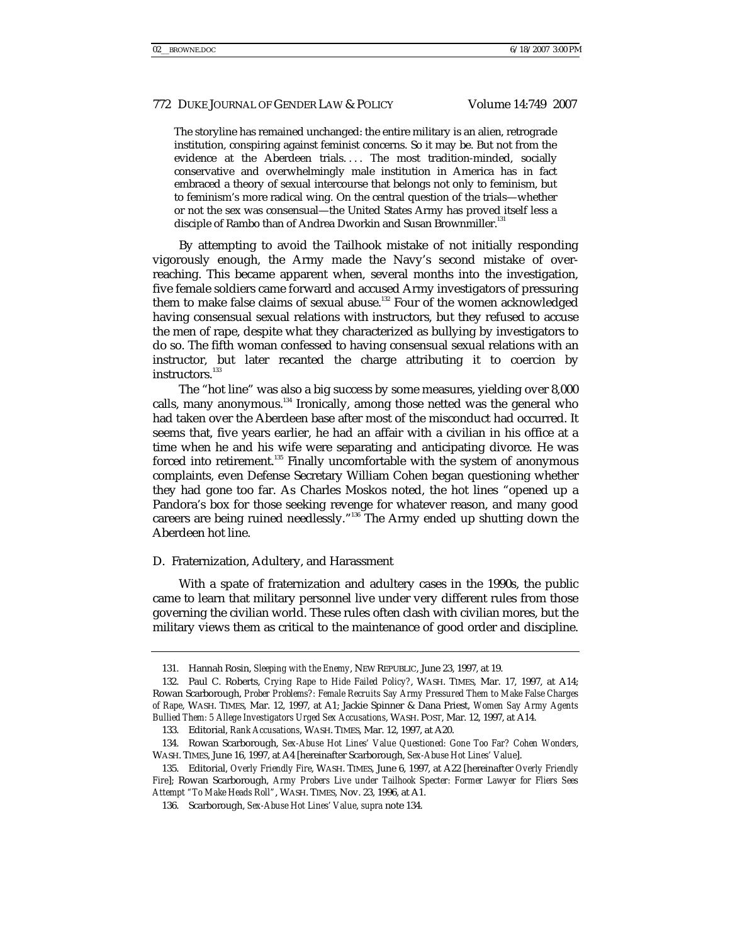The storyline has remained unchanged: the entire military is an alien, retrograde institution, conspiring against feminist concerns. So it may be. But not from the evidence at the Aberdeen trials.... The most tradition-minded, socially conservative and overwhelmingly male institution in America has in fact embraced a theory of sexual intercourse that belongs not only to feminism, but to feminism's more radical wing. On the central question of the trials—whether or not the sex was consensual—the United States Army has proved itself less a disciple of Rambo than of Andrea Dworkin and Susan Brownmiller.<sup>131</sup>

By attempting to avoid the Tailhook mistake of not initially responding vigorously enough, the Army made the Navy's second mistake of overreaching. This became apparent when, several months into the investigation, five female soldiers came forward and accused Army investigators of pressuring them to make false claims of sexual abuse.<sup>132</sup> Four of the women acknowledged having consensual sexual relations with instructors, but they refused to accuse the men of rape, despite what they characterized as bullying by investigators to do so. The fifth woman confessed to having consensual sexual relations with an instructor, but later recanted the charge attributing it to coercion by instructors.<sup>133</sup>

The "hot line" was also a big success by some measures, yielding over 8,000 calls, many anonymous. $134$  Ironically, among those netted was the general who had taken over the Aberdeen base after most of the misconduct had occurred. It seems that, five years earlier, he had an affair with a civilian in his office at a time when he and his wife were separating and anticipating divorce. He was forced into retirement.<sup>135</sup> Finally uncomfortable with the system of anonymous complaints, even Defense Secretary William Cohen began questioning whether they had gone too far. As Charles Moskos noted, the hot lines "opened up a Pandora's box for those seeking revenge for whatever reason, and many good careers are being ruined needlessly."136 The Army ended up shutting down the Aberdeen hot line.

#### D. Fraternization, Adultery, and Harassment

With a spate of fraternization and adultery cases in the 1990s, the public came to learn that military personnel live under very different rules from those governing the civilian world. These rules often clash with civilian mores, but the military views them as critical to the maintenance of good order and discipline.

 <sup>131.</sup> Hannah Rosin, *Sleeping with the Enemy*, NEW REPUBLIC, June 23, 1997, at 19.

 <sup>132.</sup> Paul C. Roberts, *Crying Rape to Hide Failed Policy?*, WASH. TIMES, Mar. 17, 1997, at A14; Rowan Scarborough, *Prober Problems?: Female Recruits Say Army Pressured Them to Make False Charges of Rape*, WASH. TIMES, Mar. 12, 1997, at A1; Jackie Spinner & Dana Priest, *Women Say Army Agents Bullied Them: 5 Allege Investigators Urged Sex Accusations*, WASH. POST, Mar. 12, 1997, at A14.

 <sup>133.</sup> Editorial, *Rank Accusations*, WASH. TIMES, Mar. 12, 1997, at A20.

 <sup>134.</sup> Rowan Scarborough, *Sex-Abuse Hot Lines' Value Questioned: Gone Too Far? Cohen Wonders*, WASH. TIMES, June 16, 1997, at A4 [hereinafter Scarborough, *Sex-Abuse Hot Lines' Value*].

 <sup>135.</sup> Editorial, *Overly Friendly Fire*, WASH. TIMES, June 6, 1997, at A22 [hereinafter *Overly Friendly Fire*]; Rowan Scarborough, *Army Probers Live under Tailhook Specter: Former Lawyer for Fliers Sees Attempt "To Make Heads Roll"*, WASH. TIMES, Nov. 23, 1996, at A1.

 <sup>136.</sup> Scarborough, *Sex-Abuse Hot Lines' Value*, *supra* note 134.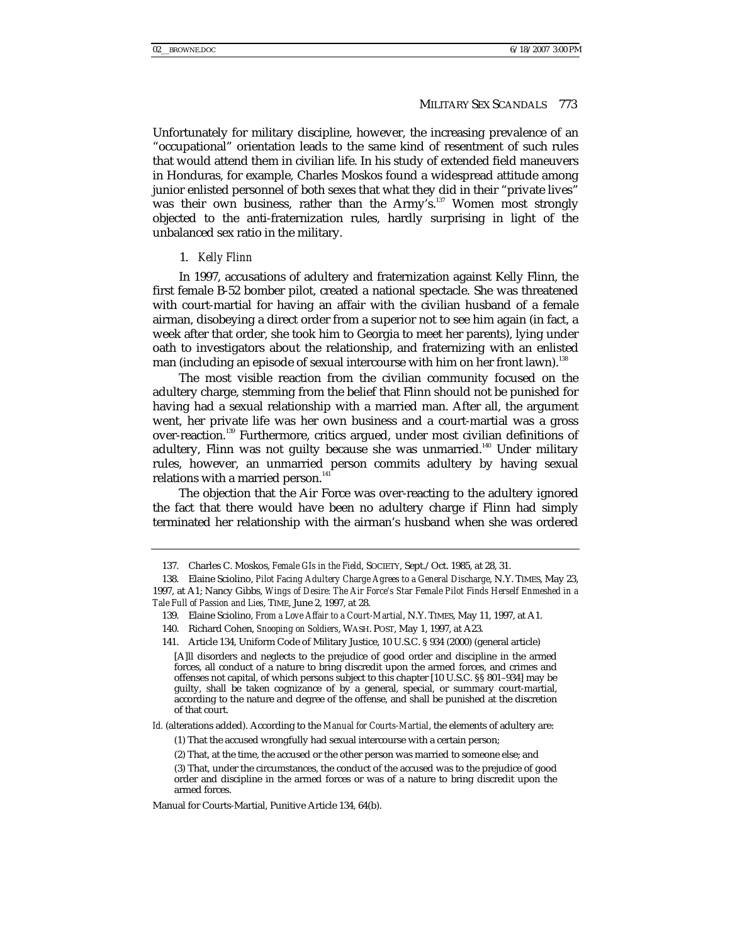Unfortunately for military discipline, however, the increasing prevalence of an "occupational" orientation leads to the same kind of resentment of such rules that would attend them in civilian life. In his study of extended field maneuvers in Honduras, for example, Charles Moskos found a widespread attitude among junior enlisted personnel of both sexes that what they did in their "private lives" was their own business, rather than the Army's.<sup>137</sup> Women most strongly objected to the anti-fraternization rules, hardly surprising in light of the unbalanced sex ratio in the military.

#### 1. *Kelly Flinn*

In 1997, accusations of adultery and fraternization against Kelly Flinn, the first female B-52 bomber pilot, created a national spectacle. She was threatened with court-martial for having an affair with the civilian husband of a female airman, disobeying a direct order from a superior not to see him again (in fact, a week after that order, she took him to Georgia to meet her parents), lying under oath to investigators about the relationship, and fraternizing with an enlisted man (including an episode of sexual intercourse with him on her front lawn).<sup>138</sup>

The most visible reaction from the civilian community focused on the adultery charge, stemming from the belief that Flinn should not be punished for having had a sexual relationship with a married man. After all, the argument went, her private life was her own business and a court-martial was a gross over-reaction.<sup>139</sup> Furthermore, critics argued, under most civilian definitions of adultery, Flinn was not guilty because she was unmarried.<sup>140</sup> Under military rules, however, an unmarried person commits adultery by having sexual relations with a married person.<sup>141</sup>

The objection that the Air Force was over-reacting to the adultery ignored the fact that there would have been no adultery charge if Flinn had simply terminated her relationship with the airman's husband when she was ordered

 <sup>137.</sup> Charles C. Moskos, *Female GIs in the Field*, SOCIETY, Sept./Oct. 1985, at 28, 31.

 <sup>138.</sup> Elaine Sciolino, *Pilot Facing Adultery Charge Agrees to a General Discharge*, N.Y. TIMES, May 23, 1997, at A1; Nancy Gibbs, *Wings of Desire: The Air Force's Star Female Pilot Finds Herself Enmeshed in a Tale Full of Passion and Lies*, TIME, June 2, 1997, at 28.

 <sup>139.</sup> Elaine Sciolino, *From a Love Affair to a Court-Martial*, N.Y. TIMES, May 11, 1997, at A1.

 <sup>140.</sup> Richard Cohen, *Snooping on Soldiers*, WASH. POST, May 1, 1997, at A23.

 <sup>141.</sup> Article 134, Uniform Code of Military Justice, 10 U.S.C. § 934 (2000) (general article)

<sup>[</sup>A]ll disorders and neglects to the prejudice of good order and discipline in the armed forces, all conduct of a nature to bring discredit upon the armed forces, and crimes and offenses not capital, of which persons subject to this chapter [10 U.S.C. §§ 801–934] may be guilty, shall be taken cognizance of by a general, special, or summary court-martial, according to the nature and degree of the offense, and shall be punished at the discretion of that court.

*Id.* (alterations added). According to the *Manual for Courts-Martial*, the elements of adultery are:

<sup>(1)</sup> That the accused wrongfully had sexual intercourse with a certain person;

<sup>(2)</sup> That, at the time, the accused or the other person was married to someone else; and

<sup>(3)</sup> That, under the circumstances, the conduct of the accused was to the prejudice of good order and discipline in the armed forces or was of a nature to bring discredit upon the armed forces.

Manual for Courts-Martial, Punitive Article 134, 64(b).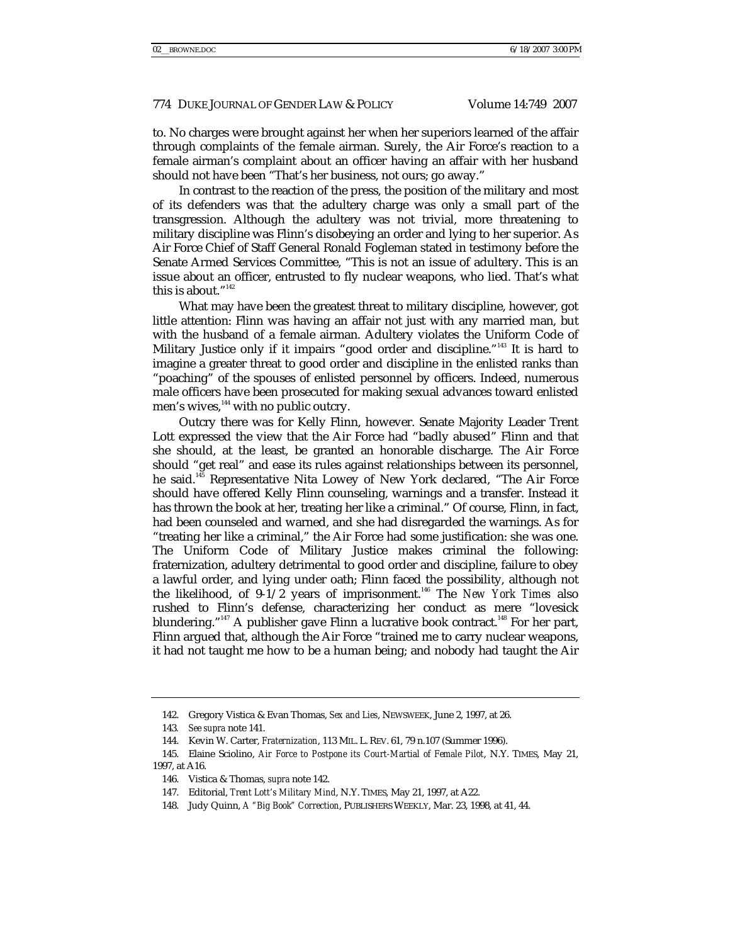to. No charges were brought against her when her superiors learned of the affair through complaints of the female airman. Surely, the Air Force's reaction to a female airman's complaint about an officer having an affair with her husband should not have been "That's her business, not ours; go away."

In contrast to the reaction of the press, the position of the military and most of its defenders was that the adultery charge was only a small part of the transgression. Although the adultery was not trivial, more threatening to military discipline was Flinn's disobeying an order and lying to her superior. As Air Force Chief of Staff General Ronald Fogleman stated in testimony before the Senate Armed Services Committee, "This is not an issue of adultery. This is an issue about an officer, entrusted to fly nuclear weapons, who lied. That's what this is about." $142$ 

What may have been the greatest threat to military discipline, however, got little attention: Flinn was having an affair not just with any married man, but with the husband of a female airman. Adultery violates the Uniform Code of Military Justice only if it impairs "good order and discipline."143 It is hard to imagine a greater threat to good order and discipline in the enlisted ranks than "poaching" of the spouses of enlisted personnel by officers. Indeed, numerous male officers have been prosecuted for making sexual advances toward enlisted men's wives,<sup>144</sup> with no public outcry.

Outcry there was for Kelly Flinn, however. Senate Majority Leader Trent Lott expressed the view that the Air Force had "badly abused" Flinn and that she should, at the least, be granted an honorable discharge. The Air Force should "get real" and ease its rules against relationships between its personnel, he said.<sup>145</sup> Representative Nita Lowey of New York declared, "The Air Force should have offered Kelly Flinn counseling, warnings and a transfer. Instead it has thrown the book at her, treating her like a criminal." Of course, Flinn, in fact, had been counseled and warned, and she had disregarded the warnings. As for "treating her like a criminal," the Air Force had some justification: she was one. The Uniform Code of Military Justice makes criminal the following: fraternization, adultery detrimental to good order and discipline, failure to obey a lawful order, and lying under oath; Flinn faced the possibility, although not the likelihood, of 9-1/2 years of imprisonment.146 The *New York Times* also rushed to Flinn's defense, characterizing her conduct as mere "lovesick blundering."<sup>147</sup> A publisher gave Flinn a lucrative book contract.<sup>148</sup> For her part, Flinn argued that, although the Air Force "trained me to carry nuclear weapons, it had not taught me how to be a human being; and nobody had taught the Air

 <sup>142.</sup> Gregory Vistica & Evan Thomas, *Sex and Lies*, NEWSWEEK, June 2, 1997, at 26.

<sup>143</sup>*. See supra* note 141.

 <sup>144.</sup> Kevin W. Carter, *Fraternization*, 113 MIL. L. REV. 61, 79 n.107 (Summer 1996).

 <sup>145.</sup> Elaine Sciolino, *Air Force to Postpone its Court-Martial of Female Pilot*, N.Y. TIMES, May 21, 1997, at A16.

 <sup>146.</sup> Vistica & Thomas, *supra* note 142.

 <sup>147.</sup> Editorial, *Trent Lott's Military Mind*, N.Y. TIMES, May 21, 1997, at A22.

 <sup>148.</sup> Judy Quinn, *A "Big Book" Correction*, PUBLISHERS WEEKLY, Mar. 23, 1998, at 41, 44.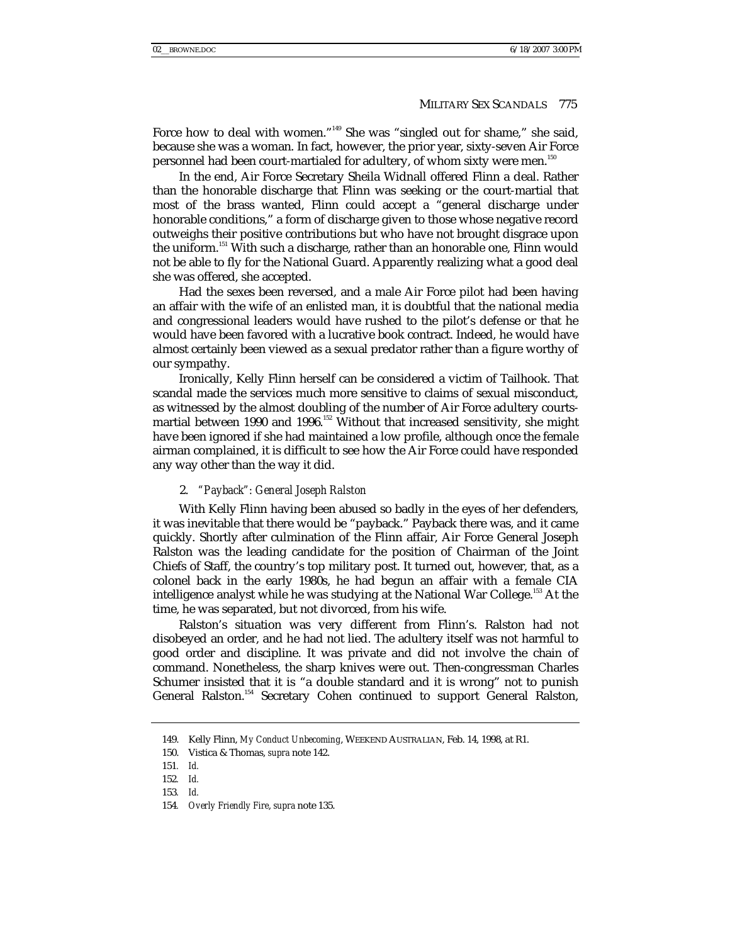Force how to deal with women."<sup>149</sup> She was "singled out for shame," she said, because she was a woman. In fact, however, the prior year, sixty-seven Air Force personnel had been court-martialed for adultery, of whom sixty were men.<sup>150</sup>

In the end, Air Force Secretary Sheila Widnall offered Flinn a deal. Rather than the honorable discharge that Flinn was seeking or the court-martial that most of the brass wanted, Flinn could accept a "general discharge under honorable conditions," a form of discharge given to those whose negative record outweighs their positive contributions but who have not brought disgrace upon the uniform.<sup>151</sup> With such a discharge, rather than an honorable one, Flinn would not be able to fly for the National Guard. Apparently realizing what a good deal she was offered, she accepted.

Had the sexes been reversed, and a male Air Force pilot had been having an affair with the wife of an enlisted man, it is doubtful that the national media and congressional leaders would have rushed to the pilot's defense or that he would have been favored with a lucrative book contract. Indeed, he would have almost certainly been viewed as a sexual predator rather than a figure worthy of our sympathy.

Ironically, Kelly Flinn herself can be considered a victim of Tailhook. That scandal made the services much more sensitive to claims of sexual misconduct, as witnessed by the almost doubling of the number of Air Force adultery courtsmartial between 1990 and 1996.<sup>152</sup> Without that increased sensitivity, she might have been ignored if she had maintained a low profile, although once the female airman complained, it is difficult to see how the Air Force could have responded any way other than the way it did.

### 2. *"Payback": General Joseph Ralston*

With Kelly Flinn having been abused so badly in the eyes of her defenders, it was inevitable that there would be "payback." Payback there was, and it came quickly. Shortly after culmination of the Flinn affair, Air Force General Joseph Ralston was the leading candidate for the position of Chairman of the Joint Chiefs of Staff, the country's top military post. It turned out, however, that, as a colonel back in the early 1980s, he had begun an affair with a female CIA intelligence analyst while he was studying at the National War College.<sup>153</sup> At the time, he was separated, but not divorced, from his wife.

Ralston's situation was very different from Flinn's. Ralston had not disobeyed an order, and he had not lied. The adultery itself was not harmful to good order and discipline. It was private and did not involve the chain of command. Nonetheless, the sharp knives were out. Then-congressman Charles Schumer insisted that it is "a double standard and it is wrong" not to punish General Ralston.<sup>154</sup> Secretary Cohen continued to support General Ralston,

 <sup>149.</sup> Kelly Flinn, *My Conduct Unbecoming*, WEEKEND AUSTRALIAN, Feb. 14, 1998, at R1.

 <sup>150.</sup> Vistica & Thomas, *supra* note 142.

<sup>151</sup>*. Id.*

<sup>152</sup>*. Id.*

<sup>153</sup>*. Id.*

<sup>154</sup>*. Overly Friendly Fire*, *supra* note 135.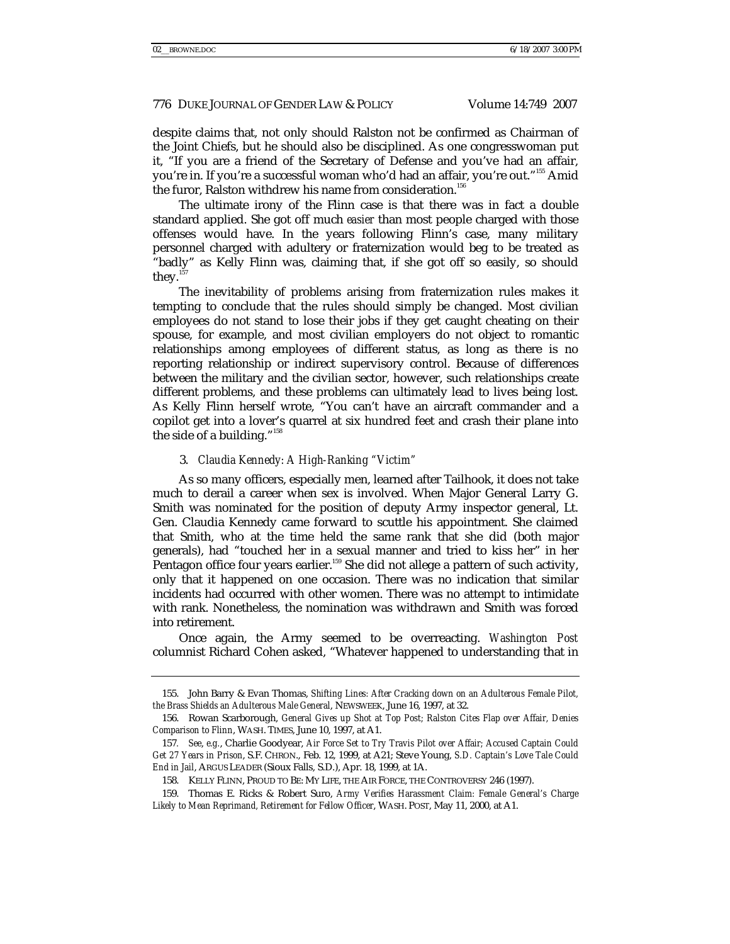despite claims that, not only should Ralston not be confirmed as Chairman of the Joint Chiefs, but he should also be disciplined. As one congresswoman put it, "If you are a friend of the Secretary of Defense and you've had an affair, you're in. If you're a successful woman who'd had an affair, you're out."<sup>155</sup> Amid the furor, Ralston withdrew his name from consideration.<sup>156</sup>

The ultimate irony of the Flinn case is that there was in fact a double standard applied. She got off much *easier* than most people charged with those offenses would have. In the years following Flinn's case, many military personnel charged with adultery or fraternization would beg to be treated as "badly" as Kelly Flinn was, claiming that, if she got off so easily, so should they.<sup>157</sup>

The inevitability of problems arising from fraternization rules makes it tempting to conclude that the rules should simply be changed. Most civilian employees do not stand to lose their jobs if they get caught cheating on their spouse, for example, and most civilian employers do not object to romantic relationships among employees of different status, as long as there is no reporting relationship or indirect supervisory control. Because of differences between the military and the civilian sector, however, such relationships create different problems, and these problems can ultimately lead to lives being lost. As Kelly Flinn herself wrote, "You can't have an aircraft commander and a copilot get into a lover's quarrel at six hundred feet and crash their plane into the side of a building."<sup>158</sup>

#### 3. *Claudia Kennedy: A High-Ranking "Victim"*

As so many officers, especially men, learned after Tailhook, it does not take much to derail a career when sex is involved. When Major General Larry G. Smith was nominated for the position of deputy Army inspector general, Lt. Gen. Claudia Kennedy came forward to scuttle his appointment. She claimed that Smith, who at the time held the same rank that she did (both major generals), had "touched her in a sexual manner and tried to kiss her" in her Pentagon office four years earlier.<sup>159</sup> She did not allege a pattern of such activity, only that it happened on one occasion. There was no indication that similar incidents had occurred with other women. There was no attempt to intimidate with rank. Nonetheless, the nomination was withdrawn and Smith was forced into retirement.

Once again, the Army seemed to be overreacting. *Washington Post*  columnist Richard Cohen asked, "Whatever happened to understanding that in

 <sup>155.</sup> John Barry & Evan Thomas, *Shifting Lines: After Cracking down on an Adulterous Female Pilot, the Brass Shields an Adulterous Male General*, NEWSWEEK, June 16, 1997, at 32.

 <sup>156.</sup> Rowan Scarborough, *General Gives up Shot at Top Post; Ralston Cites Flap over Affair, Denies Comparison to Flinn*, WASH. TIMES, June 10, 1997, at A1.

<sup>157</sup>*. See*, *e.g.*, Charlie Goodyear, *Air Force Set to Try Travis Pilot over Affair; Accused Captain Could Get 27 Years in Prison*, S.F. CHRON., Feb. 12, 1999, at A21; Steve Young, *S.D. Captain's Love Tale Could End in Jail*, ARGUS LEADER (Sioux Falls, S.D.), Apr. 18, 1999, at 1A.

 <sup>158.</sup> KELLY FLINN, PROUD TO BE: MY LIFE, THE AIR FORCE, THE CONTROVERSY 246 (1997).

 <sup>159.</sup> Thomas E. Ricks & Robert Suro, *Army Verifies Harassment Claim: Female General's Charge Likely to Mean Reprimand, Retirement for Fellow Officer*, WASH. POST, May 11, 2000, at A1.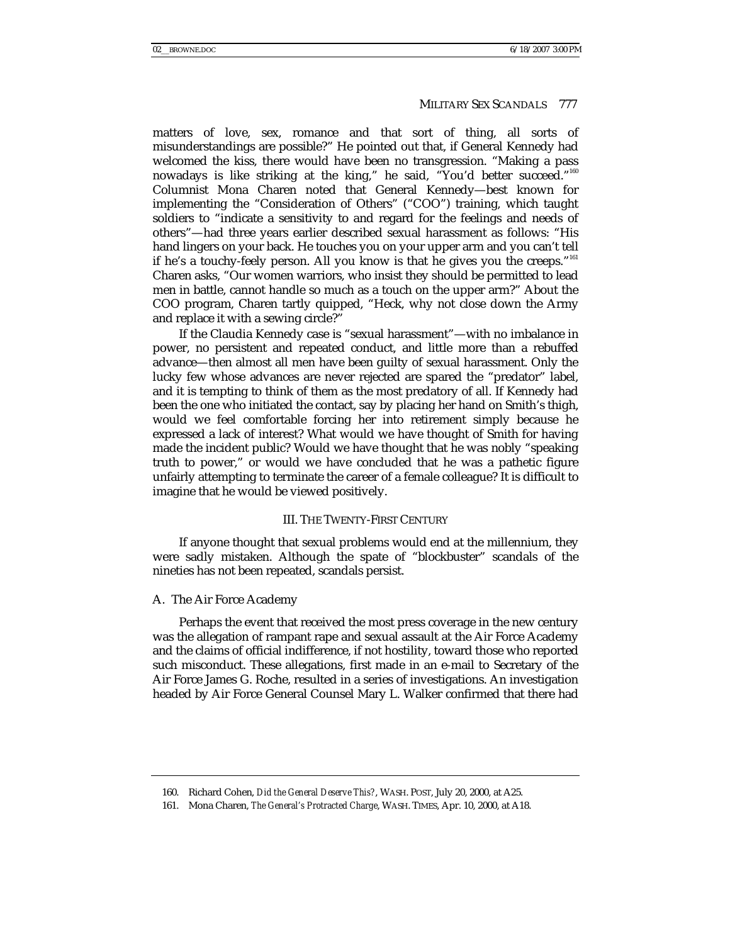matters of love, sex, romance and that sort of thing, all sorts of misunderstandings are possible?" He pointed out that, if General Kennedy had welcomed the kiss, there would have been no transgression. "Making a pass nowadays is like striking at the king," he said, "You'd better succeed."160 Columnist Mona Charen noted that General Kennedy—best known for implementing the "Consideration of Others" ("COO") training, which taught soldiers to "indicate a sensitivity to and regard for the feelings and needs of others"—had three years earlier described sexual harassment as follows: "His hand lingers on your back. He touches you on your upper arm and you can't tell if he's a touchy-feely person. All you know is that he gives you the creeps."<sup>161</sup> Charen asks, "Our women warriors, who insist they should be permitted to lead men in battle, cannot handle so much as a touch on the upper arm?" About the COO program, Charen tartly quipped, "Heck, why not close down the Army and replace it with a sewing circle?"

If the Claudia Kennedy case is "sexual harassment"—with no imbalance in power, no persistent and repeated conduct, and little more than a rebuffed advance—then almost all men have been guilty of sexual harassment. Only the lucky few whose advances are never rejected are spared the "predator" label, and it is tempting to think of them as the most predatory of all. If Kennedy had been the one who initiated the contact, say by placing her hand on Smith's thigh, would we feel comfortable forcing her into retirement simply because he expressed a lack of interest? What would we have thought of Smith for having made the incident public? Would we have thought that he was nobly "speaking truth to power," or would we have concluded that he was a pathetic figure unfairly attempting to terminate the career of a female colleague? It is difficult to imagine that he would be viewed positively.

#### III. THE TWENTY-FIRST CENTURY

If anyone thought that sexual problems would end at the millennium, they were sadly mistaken. Although the spate of "blockbuster" scandals of the nineties has not been repeated, scandals persist.

#### A. The Air Force Academy

Perhaps the event that received the most press coverage in the new century was the allegation of rampant rape and sexual assault at the Air Force Academy and the claims of official indifference, if not hostility, toward those who reported such misconduct. These allegations, first made in an e-mail to Secretary of the Air Force James G. Roche, resulted in a series of investigations. An investigation headed by Air Force General Counsel Mary L. Walker confirmed that there had

 <sup>160.</sup> Richard Cohen, *Did the General Deserve This?*, WASH. POST, July 20, 2000, at A25.

 <sup>161.</sup> Mona Charen, *The General's Protracted Charge*, WASH. TIMES, Apr. 10, 2000, at A18.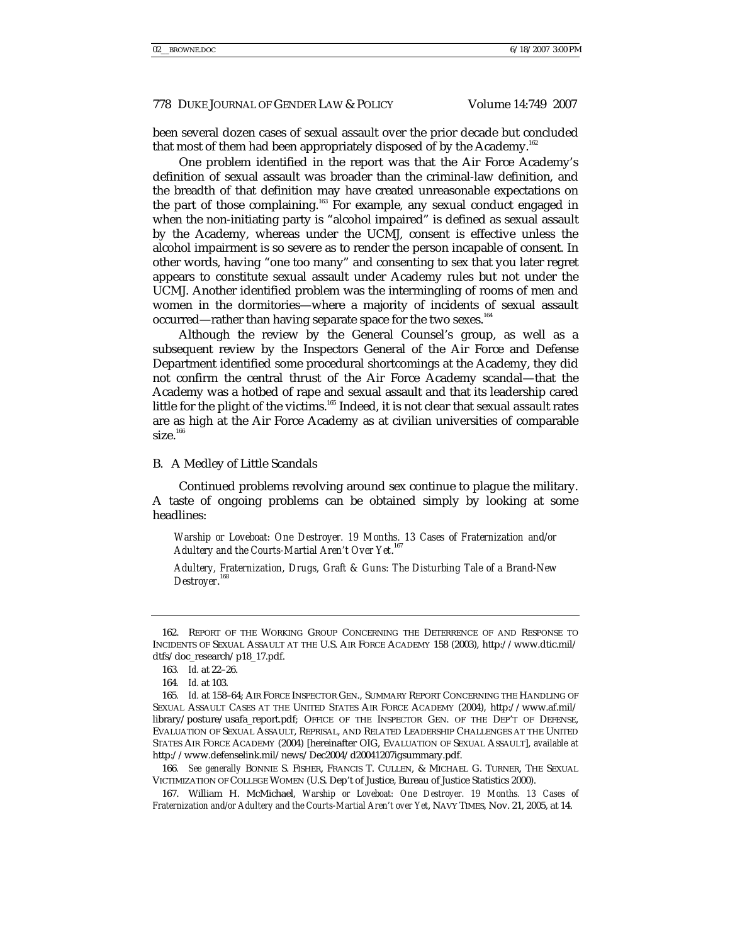been several dozen cases of sexual assault over the prior decade but concluded that most of them had been appropriately disposed of by the Academy.<sup>162</sup>

One problem identified in the report was that the Air Force Academy's definition of sexual assault was broader than the criminal-law definition, and the breadth of that definition may have created unreasonable expectations on the part of those complaining.<sup>163</sup> For example, any sexual conduct engaged in when the non-initiating party is "alcohol impaired" is defined as sexual assault by the Academy, whereas under the UCMJ, consent is effective unless the alcohol impairment is so severe as to render the person incapable of consent. In other words, having "one too many" and consenting to sex that you later regret appears to constitute sexual assault under Academy rules but not under the UCMJ. Another identified problem was the intermingling of rooms of men and women in the dormitories—where a majority of incidents of sexual assault occurred—rather than having separate space for the two sexes.<sup>164</sup>

Although the review by the General Counsel's group, as well as a subsequent review by the Inspectors General of the Air Force and Defense Department identified some procedural shortcomings at the Academy, they did not confirm the central thrust of the Air Force Academy scandal—that the Academy was a hotbed of rape and sexual assault and that its leadership cared little for the plight of the victims.<sup>165</sup> Indeed, it is not clear that sexual assault rates are as high at the Air Force Academy as at civilian universities of comparable size. $166$ 

#### B. A Medley of Little Scandals

Continued problems revolving around sex continue to plague the military. A taste of ongoing problems can be obtained simply by looking at some headlines:

*Warship or Loveboat: One Destroyer. 19 Months. 13 Cases of Fraternization and/or Adultery and the Courts-Martial Aren't Over Yet*. 167

*Adultery, Fraternization, Drugs, Graft & Guns: The Disturbing Tale of a Brand-New Destroyer*. 168

 <sup>162.</sup> REPORT OF THE WORKING GROUP CONCERNING THE DETERRENCE OF AND RESPONSE TO INCIDENTS OF SEXUAL ASSAULT AT THE U.S. AIR FORCE ACADEMY 158 (2003), http://www.dtic.mil/ dtfs/doc\_research/p18\_17.pdf.

<sup>163</sup>*. Id.* at 22–26.

<sup>164</sup>*. Id.* at 103.

<sup>165</sup>*. Id.* at 158–64; AIR FORCE INSPECTOR GEN., SUMMARY REPORT CONCERNING THE HANDLING OF SEXUAL ASSAULT CASES AT THE UNITED STATES AIR FORCE ACADEMY (2004), http://www.af.mil/ library/posture/usafa\_report.pdf; OFFICE OF THE INSPECTOR GEN. OF THE DEP'T OF DEFENSE, EVALUATION OF SEXUAL ASSAULT, REPRISAL, AND RELATED LEADERSHIP CHALLENGES AT THE UNITED STATES AIR FORCE ACADEMY (2004) [hereinafter OIG, EVALUATION OF SEXUAL ASSAULT], *available at* http://www.defenselink.mil/news/Dec2004/d20041207igsummary.pdf.

<sup>166</sup>*. See generally* BONNIE S. FISHER, FRANCIS T. CULLEN, & MICHAEL G. TURNER, THE SEXUAL VICTIMIZATION OF COLLEGE WOMEN (U.S. Dep't of Justice, Bureau of Justice Statistics 2000).

 <sup>167.</sup> William H. McMichael, *Warship or Loveboat: One Destroyer. 19 Months. 13 Cases of Fraternization and/or Adultery and the Courts-Martial Aren't over Yet*, NAVY TIMES, Nov. 21, 2005, at 14.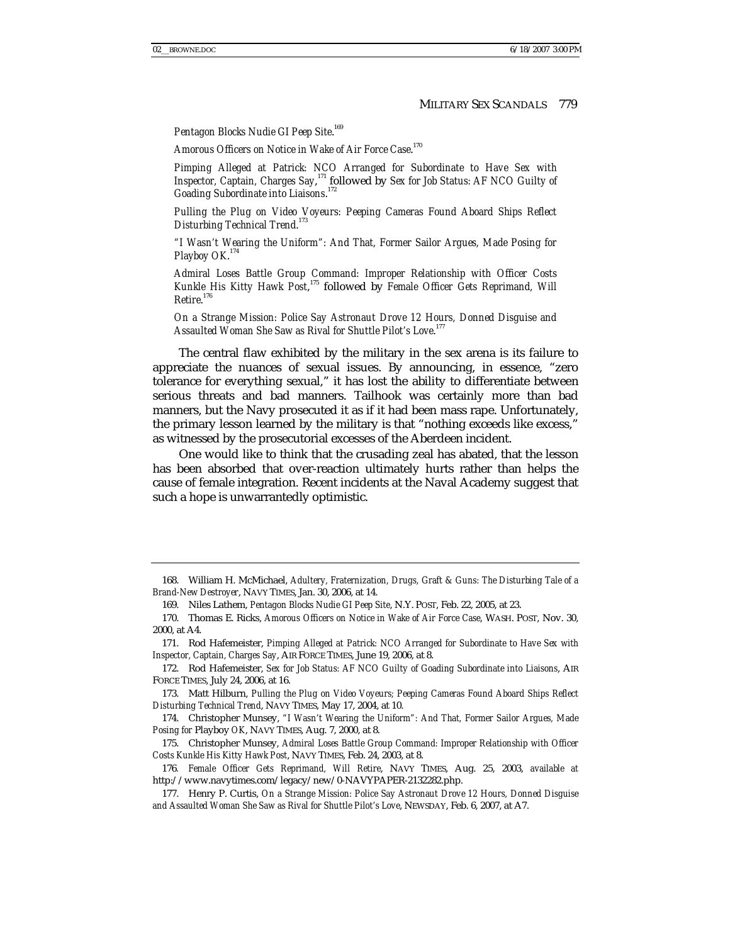*Pentagon Blocks Nudie GI Peep Site*. 169

*Amorous Officers on Notice in Wake of Air Force Case*. 170

*Pimping Alleged at Patrick: NCO Arranged for Subordinate to Have Sex with*  Inspector, Captain, Charges Say,<sup>171</sup> followed by Sex for Job Status: AF NCO Guilty of *Goading Subordinate into Liaisons*. 172

*Pulling the Plug on Video Voyeurs: Peeping Cameras Found Aboard Ships Reflect Disturbing Technical Trend*. 173

*"I Wasn't Wearing the Uniform": And That, Former Sailor Argues, Made Posing for Playboy OK*. 174

*Admiral Loses Battle Group Command: Improper Relationship with Officer Costs Kunkle His Kitty Hawk Post*, <sup>175</sup> followed by *Female Officer Gets Reprimand, Will Retire*. 176

*On a Strange Mission: Police Say Astronaut Drove 12 Hours, Donned Disguise and Assaulted Woman She Saw as Rival for Shuttle Pilot's Love*. 177

The central flaw exhibited by the military in the sex arena is its failure to appreciate the nuances of sexual issues. By announcing, in essence, "zero tolerance for everything sexual," it has lost the ability to differentiate between serious threats and bad manners. Tailhook was certainly more than bad manners, but the Navy prosecuted it as if it had been mass rape. Unfortunately, the primary lesson learned by the military is that "nothing exceeds like excess," as witnessed by the prosecutorial excesses of the Aberdeen incident.

One would like to think that the crusading zeal has abated, that the lesson has been absorbed that over-reaction ultimately hurts rather than helps the cause of female integration. Recent incidents at the Naval Academy suggest that such a hope is unwarrantedly optimistic.

 <sup>168.</sup> William H. McMichael, *Adultery, Fraternization, Drugs, Graft & Guns: The Disturbing Tale of a Brand-New Destroyer*, NAVY TIMES, Jan. 30, 2006, at 14.

 <sup>169.</sup> Niles Lathem, *Pentagon Blocks Nudie GI Peep Site*, N.Y. POST, Feb. 22, 2005, at 23.

 <sup>170.</sup> Thomas E. Ricks, *Amorous Officers on Notice in Wake of Air Force Case*, WASH. POST, Nov. 30, 2000, at A4.

 <sup>171.</sup> Rod Hafemeister, *Pimping Alleged at Patrick: NCO Arranged for Subordinate to Have Sex with Inspector, Captain, Charges Say*, AIR FORCE TIMES, June 19, 2006, at 8.

 <sup>172.</sup> Rod Hafemeister, *Sex for Job Status: AF NCO Guilty of Goading Subordinate into Liaisons*, AIR FORCE TIMES, July 24, 2006, at 16.

 <sup>173.</sup> Matt Hilburn, *Pulling the Plug on Video Voyeurs; Peeping Cameras Found Aboard Ships Reflect Disturbing Technical Trend*, NAVY TIMES, May 17, 2004, at 10.

 <sup>174.</sup> Christopher Munsey, *"I Wasn't Wearing the Uniform": And That, Former Sailor Argues, Made Posing for* Playboy *OK*, NAVY TIMES, Aug. 7, 2000, at 8.

 <sup>175.</sup> Christopher Munsey, *Admiral Loses Battle Group Command: Improper Relationship with Officer Costs Kunkle His Kitty Hawk Post*, NAVY TIMES, Feb. 24, 2003, at 8.

<sup>176</sup>*. Female Officer Gets Reprimand, Will Retire*, NAVY TIMES, Aug. 25, 2003, *available at*  http://www.navytimes.com/legacy/new/0-NAVYPAPER-2132282.php.

 <sup>177.</sup> Henry P. Curtis, *On a Strange Mission: Police Say Astronaut Drove 12 Hours, Donned Disguise and Assaulted Woman She Saw as Rival for Shuttle Pilot's Love*, NEWSDAY, Feb. 6, 2007, at A7.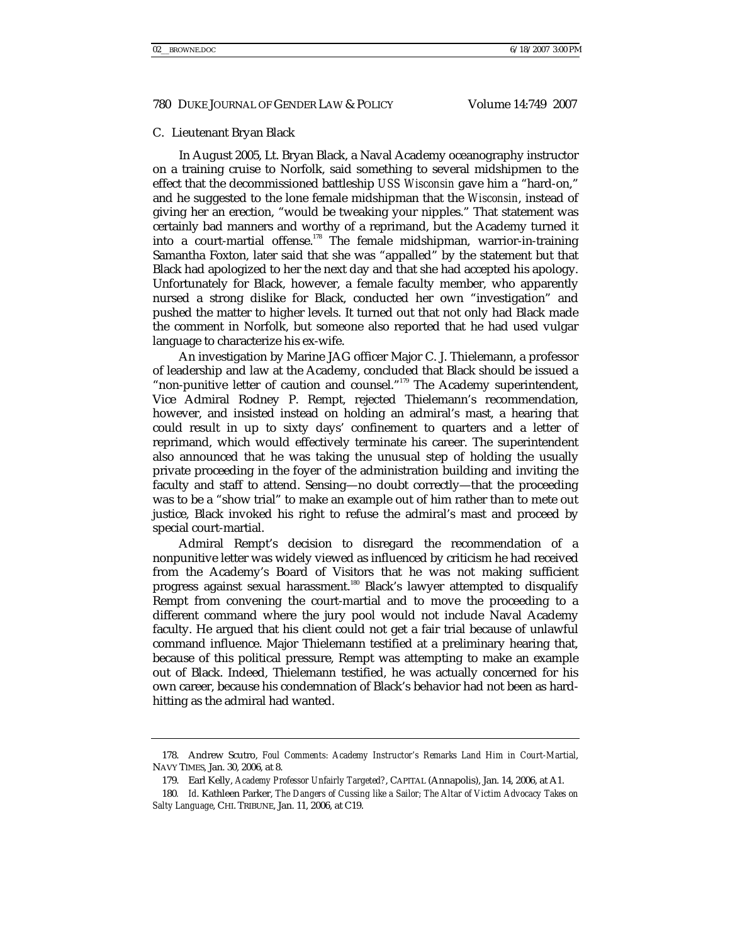#### C. Lieutenant Bryan Black

In August 2005, Lt. Bryan Black, a Naval Academy oceanography instructor on a training cruise to Norfolk, said something to several midshipmen to the effect that the decommissioned battleship *USS Wisconsin* gave him a "hard-on," and he suggested to the lone female midshipman that the *Wisconsin*, instead of giving her an erection, "would be tweaking your nipples." That statement was certainly bad manners and worthy of a reprimand, but the Academy turned it into a court-martial offense.<sup>178</sup> The female midshipman, warrior-in-training Samantha Foxton, later said that she was "appalled" by the statement but that Black had apologized to her the next day and that she had accepted his apology. Unfortunately for Black, however, a female faculty member, who apparently nursed a strong dislike for Black, conducted her own "investigation" and pushed the matter to higher levels. It turned out that not only had Black made the comment in Norfolk, but someone also reported that he had used vulgar language to characterize his ex-wife.

An investigation by Marine JAG officer Major C. J. Thielemann, a professor of leadership and law at the Academy, concluded that Black should be issued a "non-punitive letter of caution and counsel."<sup>179</sup> The Academy superintendent, Vice Admiral Rodney P. Rempt, rejected Thielemann's recommendation, however, and insisted instead on holding an admiral's mast, a hearing that could result in up to sixty days' confinement to quarters and a letter of reprimand, which would effectively terminate his career. The superintendent also announced that he was taking the unusual step of holding the usually private proceeding in the foyer of the administration building and inviting the faculty and staff to attend. Sensing—no doubt correctly—that the proceeding was to be a "show trial" to make an example out of him rather than to mete out justice, Black invoked his right to refuse the admiral's mast and proceed by special court-martial.

Admiral Rempt's decision to disregard the recommendation of a nonpunitive letter was widely viewed as influenced by criticism he had received from the Academy's Board of Visitors that he was not making sufficient progress against sexual harassment.<sup>180</sup> Black's lawyer attempted to disqualify Rempt from convening the court-martial and to move the proceeding to a different command where the jury pool would not include Naval Academy faculty. He argued that his client could not get a fair trial because of unlawful command influence. Major Thielemann testified at a preliminary hearing that, because of this political pressure, Rempt was attempting to make an example out of Black. Indeed, Thielemann testified, he was actually concerned for his own career, because his condemnation of Black's behavior had not been as hardhitting as the admiral had wanted.

 <sup>178.</sup> Andrew Scutro, *Foul Comments: Academy Instructor's Remarks Land Him in Court-Martial*, NAVY TIMES, Jan. 30, 2006, at 8.

 <sup>179.</sup> Earl Kelly, *Academy Professor Unfairly Targeted?*, CAPITAL (Annapolis), Jan. 14, 2006, at A1.

<sup>180</sup>*. Id*. Kathleen Parker, *The Dangers of Cussing like a Sailor; The Altar of Victim Advocacy Takes on Salty Language*, CHI. TRIBUNE, Jan. 11, 2006, at C19.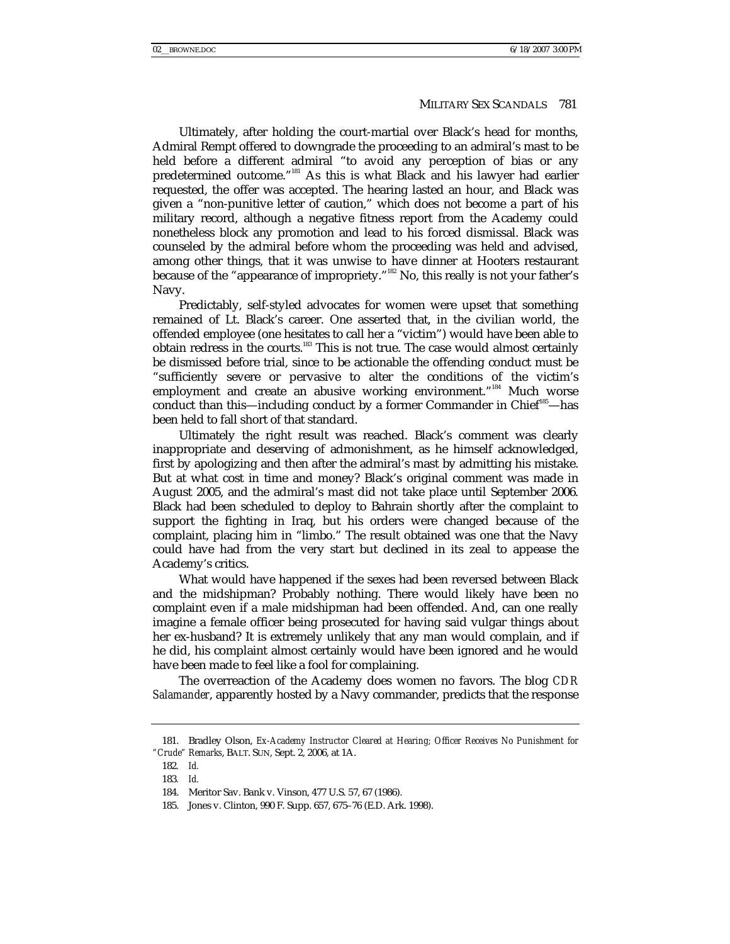Ultimately, after holding the court-martial over Black's head for months, Admiral Rempt offered to downgrade the proceeding to an admiral's mast to be held before a different admiral "to avoid any perception of bias or any predetermined outcome."<sup>181</sup> As this is what Black and his lawyer had earlier requested, the offer was accepted. The hearing lasted an hour, and Black was given a "non-punitive letter of caution," which does not become a part of his military record, although a negative fitness report from the Academy could nonetheless block any promotion and lead to his forced dismissal. Black was counseled by the admiral before whom the proceeding was held and advised, among other things, that it was unwise to have dinner at Hooters restaurant because of the "appearance of impropriety."<sup>182</sup> No, this really is not your father's Navy.

Predictably, self-styled advocates for women were upset that something remained of Lt. Black's career. One asserted that, in the civilian world, the offended employee (one hesitates to call her a "victim") would have been able to obtain redress in the courts.<sup>183</sup> This is not true. The case would almost certainly be dismissed before trial, since to be actionable the offending conduct must be "sufficiently severe or pervasive to alter the conditions of the victim's employment and create an abusive working environment."<sup>184</sup> Much worse conduct than this—including conduct by a former Commander in Chief<sup>185</sup>—has been held to fall short of that standard.

Ultimately the right result was reached. Black's comment was clearly inappropriate and deserving of admonishment, as he himself acknowledged, first by apologizing and then after the admiral's mast by admitting his mistake. But at what cost in time and money? Black's original comment was made in August 2005, and the admiral's mast did not take place until September 2006. Black had been scheduled to deploy to Bahrain shortly after the complaint to support the fighting in Iraq, but his orders were changed because of the complaint, placing him in "limbo." The result obtained was one that the Navy could have had from the very start but declined in its zeal to appease the Academy's critics.

What would have happened if the sexes had been reversed between Black and the midshipman? Probably nothing. There would likely have been no complaint even if a male midshipman had been offended. And, can one really imagine a female officer being prosecuted for having said vulgar things about her ex-husband? It is extremely unlikely that any man would complain, and if he did, his complaint almost certainly would have been ignored and he would have been made to feel like a fool for complaining.

The overreaction of the Academy does women no favors. The blog *CDR Salamander*, apparently hosted by a Navy commander, predicts that the response

 <sup>181.</sup> Bradley Olson, *Ex-Academy Instructor Cleared at Hearing; Officer Receives No Punishment for "Crude" Remarks*, BALT. SUN, Sept. 2, 2006, at 1A.

<sup>182</sup>*. Id.*

<sup>183</sup>*. Id.*

 <sup>184.</sup> Meritor Sav. Bank v. Vinson, 477 U.S. 57, 67 (1986).

 <sup>185.</sup> Jones v. Clinton, 990 F. Supp. 657, 675–76 (E.D. Ark. 1998).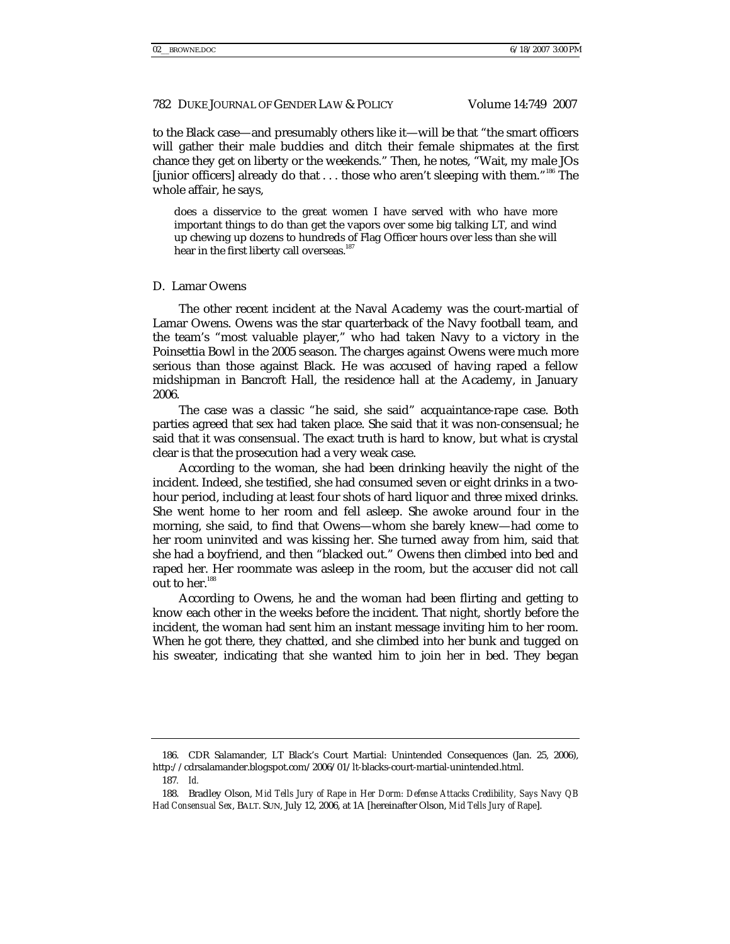to the Black case—and presumably others like it—will be that "the smart officers will gather their male buddies and ditch their female shipmates at the first chance they get on liberty or the weekends." Then, he notes, "Wait, my male JOs [junior officers] already do that . . . those who aren't sleeping with them."186 The whole affair, he says,

does a disservice to the great women I have served with who have more important things to do than get the vapors over some big talking LT, and wind up chewing up dozens to hundreds of Flag Officer hours over less than she will hear in the first liberty call overseas.<sup>187</sup>

#### D. Lamar Owens

The other recent incident at the Naval Academy was the court-martial of Lamar Owens. Owens was the star quarterback of the Navy football team, and the team's "most valuable player," who had taken Navy to a victory in the Poinsettia Bowl in the 2005 season. The charges against Owens were much more serious than those against Black. He was accused of having raped a fellow midshipman in Bancroft Hall, the residence hall at the Academy, in January 2006.

The case was a classic "he said, she said" acquaintance-rape case. Both parties agreed that sex had taken place. She said that it was non-consensual; he said that it was consensual. The exact truth is hard to know, but what is crystal clear is that the prosecution had a very weak case.

According to the woman, she had been drinking heavily the night of the incident. Indeed, she testified, she had consumed seven or eight drinks in a twohour period, including at least four shots of hard liquor and three mixed drinks. She went home to her room and fell asleep. She awoke around four in the morning, she said, to find that Owens—whom she barely knew—had come to her room uninvited and was kissing her. She turned away from him, said that she had a boyfriend, and then "blacked out." Owens then climbed into bed and raped her. Her roommate was asleep in the room, but the accuser did not call out to her.<sup>188</sup>

According to Owens, he and the woman had been flirting and getting to know each other in the weeks before the incident. That night, shortly before the incident, the woman had sent him an instant message inviting him to her room. When he got there, they chatted, and she climbed into her bunk and tugged on his sweater, indicating that she wanted him to join her in bed. They began

 <sup>186.</sup> CDR Salamander, LT Black's Court Martial: Unintended Consequences (Jan. 25, 2006), http://cdrsalamander.blogspot.com/2006/01/lt-blacks-court-martial-unintended.html.

<sup>187</sup>*. Id.*

 <sup>188.</sup> Bradley Olson, *Mid Tells Jury of Rape in Her Dorm: Defense Attacks Credibility, Says Navy QB Had Consensual Sex*, BALT. SUN, July 12, 2006, at 1A [hereinafter Olson, *Mid Tells Jury of Rape*].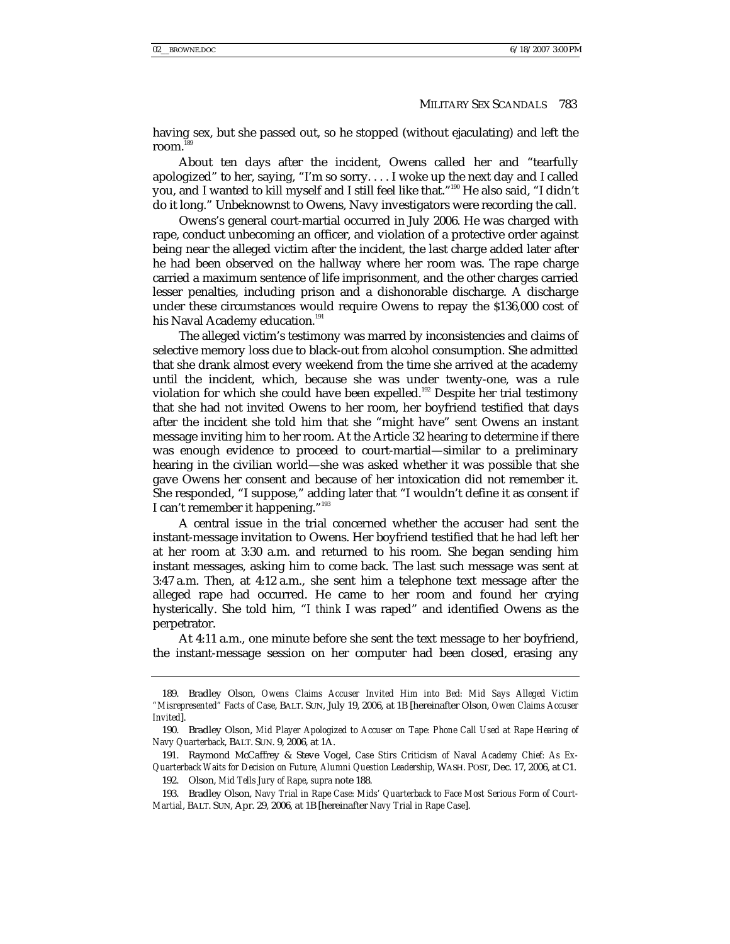having sex, but she passed out, so he stopped (without ejaculating) and left the room.

About ten days after the incident, Owens called her and "tearfully apologized" to her, saying, "I'm so sorry. . . . I woke up the next day and I called you, and I wanted to kill myself and I still feel like that."<sup>190</sup> He also said, "I didn't do it long." Unbeknownst to Owens, Navy investigators were recording the call.

Owens's general court-martial occurred in July 2006. He was charged with rape, conduct unbecoming an officer, and violation of a protective order against being near the alleged victim after the incident, the last charge added later after he had been observed on the hallway where her room was. The rape charge carried a maximum sentence of life imprisonment, and the other charges carried lesser penalties, including prison and a dishonorable discharge. A discharge under these circumstances would require Owens to repay the \$136,000 cost of his Naval Academy education.<sup>191</sup>

The alleged victim's testimony was marred by inconsistencies and claims of selective memory loss due to black-out from alcohol consumption. She admitted that she drank almost every weekend from the time she arrived at the academy until the incident, which, because she was under twenty-one, was a rule violation for which she could have been expelled.<sup>192</sup> Despite her trial testimony that she had not invited Owens to her room, her boyfriend testified that days after the incident she told him that she "might have" sent Owens an instant message inviting him to her room. At the Article 32 hearing to determine if there was enough evidence to proceed to court-martial—similar to a preliminary hearing in the civilian world—she was asked whether it was possible that she gave Owens her consent and because of her intoxication did not remember it. She responded, "I suppose," adding later that "I wouldn't define it as consent if I can't remember it happening."<sup>193</sup>

A central issue in the trial concerned whether the accuser had sent the instant-message invitation to Owens. Her boyfriend testified that he had left her at her room at 3:30 a.m. and returned to his room. She began sending him instant messages, asking him to come back. The last such message was sent at 3:47 a.m. Then, at 4:12 a.m., she sent him a telephone text message after the alleged rape had occurred. He came to her room and found her crying hysterically. She told him, "*I think* I was raped" and identified Owens as the perpetrator.

At 4:11 a.m., one minute before she sent the text message to her boyfriend, the instant-message session on her computer had been closed, erasing any

 <sup>189.</sup> Bradley Olson, *Owens Claims Accuser Invited Him into Bed: Mid Says Alleged Victim "Misrepresented" Facts of Case*, BALT. SUN, July 19, 2006, at 1B [hereinafter Olson, *Owen Claims Accuser Invited*].

 <sup>190.</sup> Bradley Olson, *Mid Player Apologized to Accuser on Tape: Phone Call Used at Rape Hearing of Navy Quarterback*, BALT. SUN. 9, 2006, at 1A.

 <sup>191.</sup> Raymond McCaffrey & Steve Vogel, *Case Stirs Criticism of Naval Academy Chief: As Ex-Quarterback Waits for Decision on Future, Alumni Question Leadership*, WASH. POST, Dec. 17, 2006, at C1.

 <sup>192.</sup> Olson, *Mid Tells Jury of Rape*, *supra* note 188.

 <sup>193.</sup> Bradley Olson, *Navy Trial in Rape Case: Mids' Quarterback to Face Most Serious Form of Court-Martial*, BALT. SUN, Apr. 29, 2006, at 1B [hereinafter *Navy Trial in Rape Case*].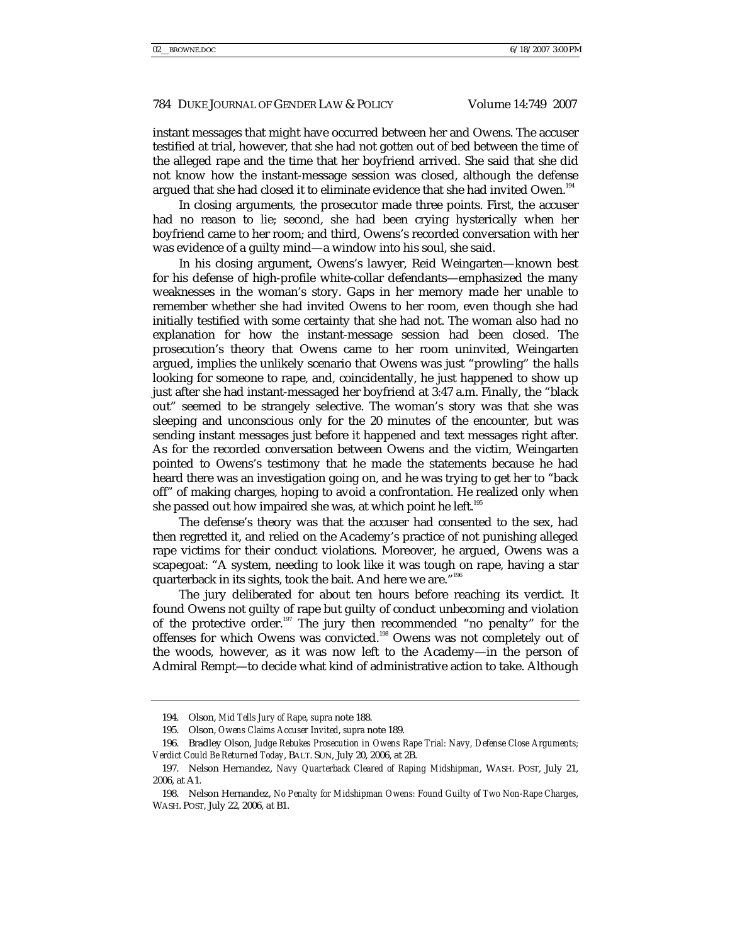instant messages that might have occurred between her and Owens. The accuser testified at trial, however, that she had not gotten out of bed between the time of the alleged rape and the time that her boyfriend arrived. She said that she did not know how the instant-message session was closed, although the defense argued that she had closed it to eliminate evidence that she had invited Owen.<sup>194</sup>

In closing arguments, the prosecutor made three points. First, the accuser had no reason to lie; second, she had been crying hysterically when her boyfriend came to her room; and third, Owens's recorded conversation with her was evidence of a guilty mind—a window into his soul, she said.

In his closing argument, Owens's lawyer, Reid Weingarten—known best for his defense of high-profile white-collar defendants—emphasized the many weaknesses in the woman's story. Gaps in her memory made her unable to remember whether she had invited Owens to her room, even though she had initially testified with some certainty that she had not. The woman also had no explanation for how the instant-message session had been closed. The prosecution's theory that Owens came to her room uninvited, Weingarten argued, implies the unlikely scenario that Owens was just "prowling" the halls looking for someone to rape, and, coincidentally, he just happened to show up just after she had instant-messaged her boyfriend at 3:47 a.m. Finally, the "black out" seemed to be strangely selective. The woman's story was that she was sleeping and unconscious only for the 20 minutes of the encounter, but was sending instant messages just before it happened and text messages right after. As for the recorded conversation between Owens and the victim, Weingarten pointed to Owens's testimony that he made the statements because he had heard there was an investigation going on, and he was trying to get her to "back off" of making charges, hoping to avoid a confrontation. He realized only when she passed out how impaired she was, at which point he left.<sup>195</sup>

The defense's theory was that the accuser had consented to the sex, had then regretted it, and relied on the Academy's practice of not punishing alleged rape victims for their conduct violations. Moreover, he argued, Owens was a scapegoat: "A system, needing to look like it was tough on rape, having a star quarterback in its sights, took the bait. And here we are."<sup>196</sup>

The jury deliberated for about ten hours before reaching its verdict. It found Owens not guilty of rape but guilty of conduct unbecoming and violation of the protective order.<sup>197</sup> The jury then recommended "no penalty" for the offenses for which Owens was convicted.198 Owens was not completely out of the woods, however, as it was now left to the Academy—in the person of Admiral Rempt—to decide what kind of administrative action to take. Although

 <sup>194.</sup> Olson, *Mid Tells Jury of Rape*, *supra* note 188.

 <sup>195.</sup> Olson, *Owens Claims Accuser Invited*, *supra* note 189.

 <sup>196.</sup> Bradley Olson, *Judge Rebukes Prosecution in Owens Rape Trial: Navy, Defense Close Arguments; Verdict Could Be Returned Today*, BALT. SUN, July 20, 2006, at 2B.

 <sup>197.</sup> Nelson Hernandez, *Navy Quarterback Cleared of Raping Midshipman*, WASH. POST, July 21, 2006, at A1.

 <sup>198.</sup> Nelson Hernandez, *No Penalty for Midshipman Owens: Found Guilty of Two Non-Rape Charges*, WASH. POST, July 22, 2006, at B1.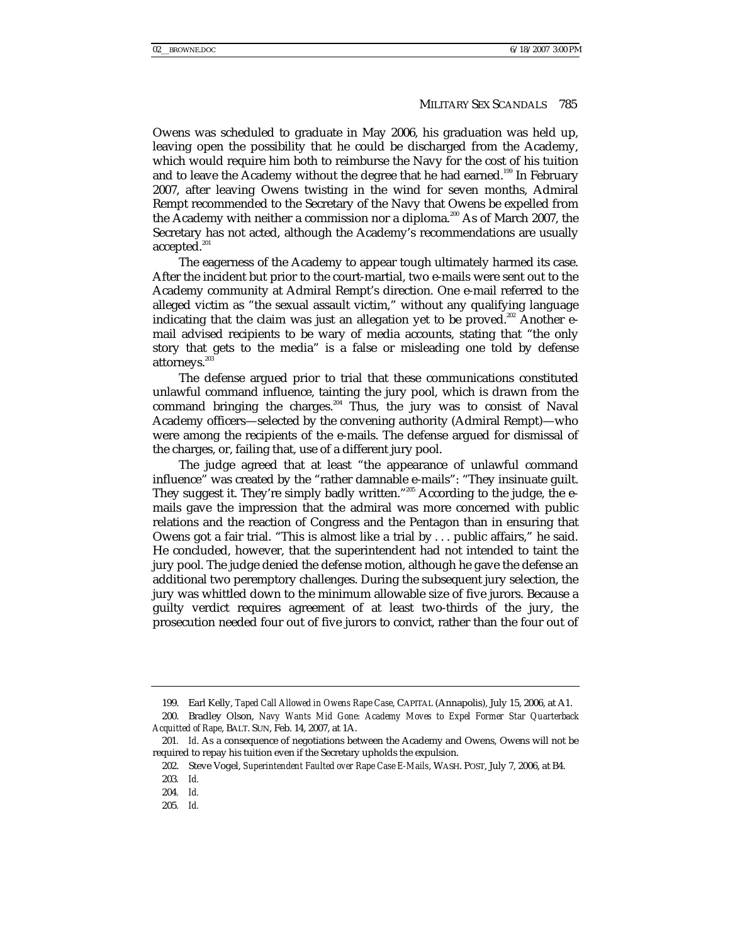Owens was scheduled to graduate in May 2006, his graduation was held up, leaving open the possibility that he could be discharged from the Academy, which would require him both to reimburse the Navy for the cost of his tuition and to leave the Academy without the degree that he had earned.<sup>199</sup> In February 2007, after leaving Owens twisting in the wind for seven months, Admiral Rempt recommended to the Secretary of the Navy that Owens be expelled from the Academy with neither a commission nor a diploma.<sup>200</sup> As of March 2007, the Secretary has not acted, although the Academy's recommendations are usually accepted. $^{201}$ 

The eagerness of the Academy to appear tough ultimately harmed its case. After the incident but prior to the court-martial, two e-mails were sent out to the Academy community at Admiral Rempt's direction. One e-mail referred to the alleged victim as "the sexual assault victim," without any qualifying language indicating that the claim was just an allegation yet to be proved.<sup>202</sup> Another email advised recipients to be wary of media accounts, stating that "the only story that gets to the media" is a false or misleading one told by defense attorneys.<sup>20</sup>

The defense argued prior to trial that these communications constituted unlawful command influence, tainting the jury pool, which is drawn from the command bringing the charges.<sup>204</sup> Thus, the jury was to consist of Naval Academy officers—selected by the convening authority (Admiral Rempt)—who were among the recipients of the e-mails. The defense argued for dismissal of the charges, or, failing that, use of a different jury pool.

The judge agreed that at least "the appearance of unlawful command influence" was created by the "rather damnable e-mails": "They insinuate guilt. They suggest it. They're simply badly written."<sup>205</sup> According to the judge, the emails gave the impression that the admiral was more concerned with public relations and the reaction of Congress and the Pentagon than in ensuring that Owens got a fair trial. "This is almost like a trial by . . . public affairs," he said. He concluded, however, that the superintendent had not intended to taint the jury pool. The judge denied the defense motion, although he gave the defense an additional two peremptory challenges. During the subsequent jury selection, the jury was whittled down to the minimum allowable size of five jurors. Because a guilty verdict requires agreement of at least two-thirds of the jury, the prosecution needed four out of five jurors to convict, rather than the four out of

 <sup>199.</sup> Earl Kelly, *Taped Call Allowed in Owens Rape Case*, CAPITAL (Annapolis), July 15, 2006, at A1.

 <sup>200.</sup> Bradley Olson, *Navy Wants Mid Gone: Academy Moves to Expel Former Star Quarterback Acquitted of Rape*, BALT. SUN, Feb. 14, 2007, at 1A.

<sup>201</sup>*. Id*. As a consequence of negotiations between the Academy and Owens, Owens will not be required to repay his tuition even if the Secretary upholds the expulsion.

 <sup>202.</sup> Steve Vogel, *Superintendent Faulted over Rape Case E-Mails*, WASH. POST, July 7, 2006, at B4.

<sup>203</sup>*. Id.*

<sup>204</sup>*. Id.*

<sup>205</sup>*. Id.*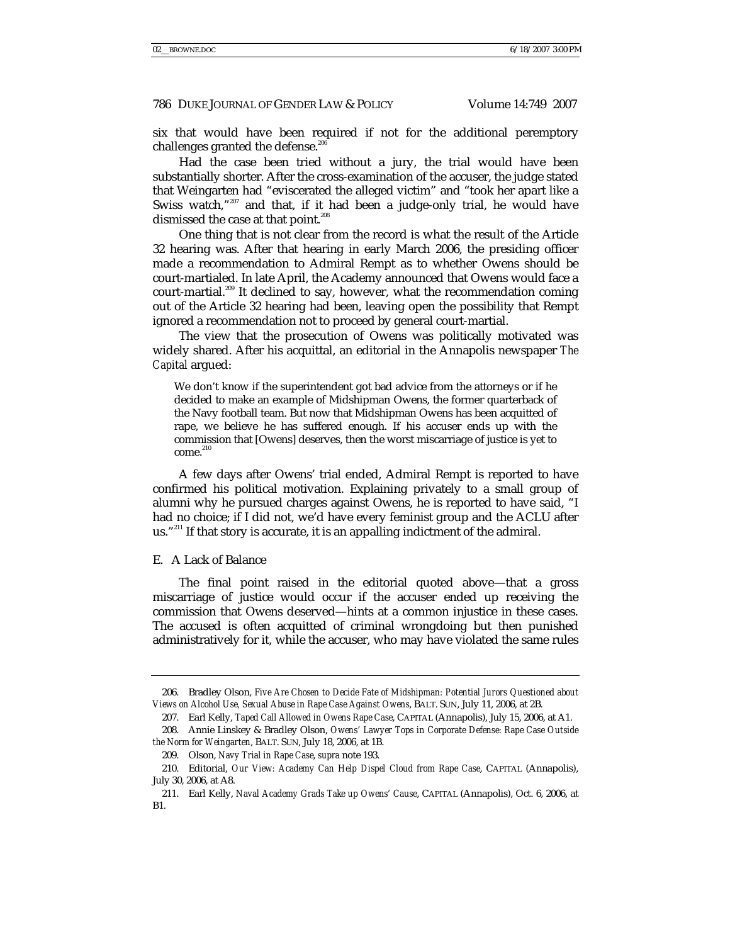six that would have been required if not for the additional peremptory challenges granted the defense. $^{\alpha}$ 

Had the case been tried without a jury, the trial would have been substantially shorter. After the cross-examination of the accuser, the judge stated that Weingarten had "eviscerated the alleged victim" and "took her apart like a Swiss watch,"<sup>207</sup> and that, if it had been a judge-only trial, he would have dismissed the case at that point.<sup>208</sup>

One thing that is not clear from the record is what the result of the Article 32 hearing was. After that hearing in early March 2006, the presiding officer made a recommendation to Admiral Rempt as to whether Owens should be court-martialed. In late April, the Academy announced that Owens would face a court-martial.<sup>209</sup> It declined to say, however, what the recommendation coming out of the Article 32 hearing had been, leaving open the possibility that Rempt ignored a recommendation not to proceed by general court-martial.

The view that the prosecution of Owens was politically motivated was widely shared. After his acquittal, an editorial in the Annapolis newspaper *The Capital* argued:

We don't know if the superintendent got bad advice from the attorneys or if he decided to make an example of Midshipman Owens, the former quarterback of the Navy football team. But now that Midshipman Owens has been acquitted of rape, we believe he has suffered enough. If his accuser ends up with the commission that [Owens] deserves, then the worst miscarriage of justice is yet to  $come.<sup>210</sup>$ 

A few days after Owens' trial ended, Admiral Rempt is reported to have confirmed his political motivation. Explaining privately to a small group of alumni why he pursued charges against Owens, he is reported to have said, "I had no choice; if I did not, we'd have every feminist group and the ACLU after us."<sup>211</sup> If that story is accurate, it is an appalling indictment of the admiral.

#### E. A Lack of Balance

The final point raised in the editorial quoted above—that a gross miscarriage of justice would occur if the accuser ended up receiving the commission that Owens deserved—hints at a common injustice in these cases. The accused is often acquitted of criminal wrongdoing but then punished administratively for it, while the accuser, who may have violated the same rules

 <sup>206.</sup> Bradley Olson, *Five Are Chosen to Decide Fate of Midshipman: Potential Jurors Questioned about Views on Alcohol Use, Sexual Abuse in Rape Case Against Owens*, BALT. SUN, July 11, 2006, at 2B.

 <sup>207.</sup> Earl Kelly, *Taped Call Allowed in Owens Rape Case*, CAPITAL (Annapolis), July 15, 2006, at A1.

 <sup>208.</sup> Annie Linskey & Bradley Olson, *Owens' Lawyer Tops in Corporate Defense: Rape Case Outside the Norm for Weingarten*, BALT. SUN, July 18, 2006, at 1B.

 <sup>209.</sup> Olson, *Navy Trial in Rape Case*, *supra* note 193.

 <sup>210.</sup> Editorial, *Our View: Academy Can Help Dispel Cloud from Rape Case*, CAPITAL (Annapolis), July 30, 2006, at A8.

 <sup>211.</sup> Earl Kelly, *Naval Academy Grads Take up Owens' Cause*, CAPITAL (Annapolis), Oct. 6, 2006, at B1.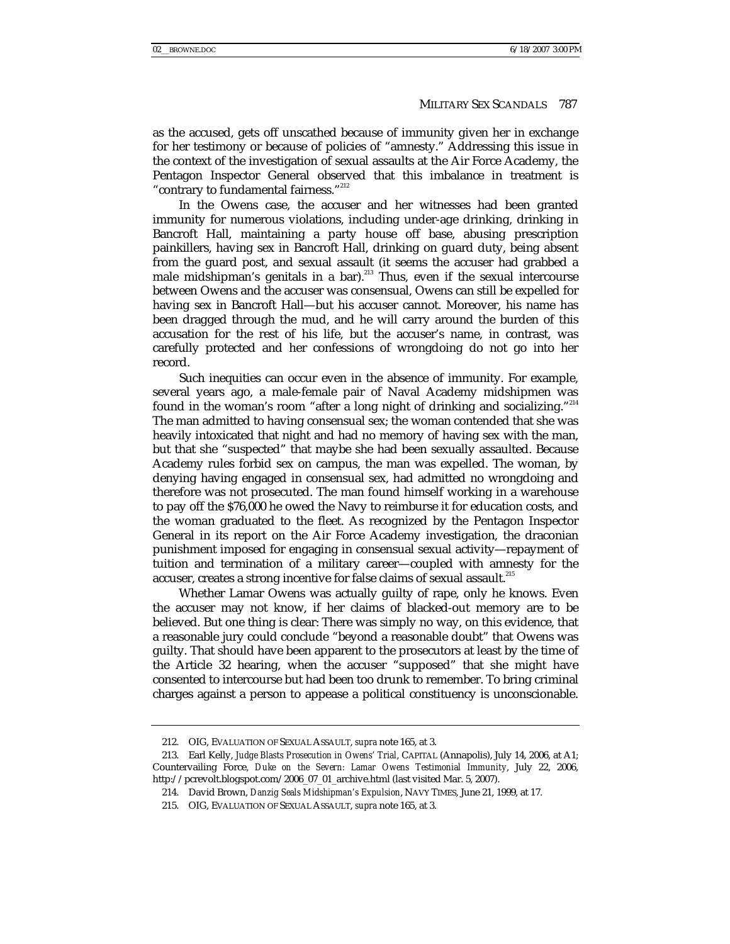as the accused, gets off unscathed because of immunity given her in exchange for her testimony or because of policies of "amnesty." Addressing this issue in the context of the investigation of sexual assaults at the Air Force Academy, the Pentagon Inspector General observed that this imbalance in treatment is "contrary to fundamental fairness."<sup>212</sup>

In the Owens case, the accuser and her witnesses had been granted immunity for numerous violations, including under-age drinking, drinking in Bancroft Hall, maintaining a party house off base, abusing prescription painkillers, having sex in Bancroft Hall, drinking on guard duty, being absent from the guard post, and sexual assault (it seems the accuser had grabbed a male midshipman's genitals in a bar).<sup>213</sup> Thus, even if the sexual intercourse between Owens and the accuser was consensual, Owens can still be expelled for having sex in Bancroft Hall—but his accuser cannot. Moreover, his name has been dragged through the mud, and he will carry around the burden of this accusation for the rest of his life, but the accuser's name, in contrast, was carefully protected and her confessions of wrongdoing do not go into her record.

Such inequities can occur even in the absence of immunity. For example, several years ago, a male-female pair of Naval Academy midshipmen was found in the woman's room "after a long night of drinking and socializing."<sup>214</sup> The man admitted to having consensual sex; the woman contended that she was heavily intoxicated that night and had no memory of having sex with the man, but that she "suspected" that maybe she had been sexually assaulted. Because Academy rules forbid sex on campus, the man was expelled. The woman, by denying having engaged in consensual sex, had admitted no wrongdoing and therefore was not prosecuted. The man found himself working in a warehouse to pay off the \$76,000 he owed the Navy to reimburse it for education costs, and the woman graduated to the fleet. As recognized by the Pentagon Inspector General in its report on the Air Force Academy investigation, the draconian punishment imposed for engaging in consensual sexual activity—repayment of tuition and termination of a military career—coupled with amnesty for the accuser, creates a strong incentive for false claims of sexual assault.<sup>215</sup>

Whether Lamar Owens was actually guilty of rape, only he knows. Even the accuser may not know, if her claims of blacked-out memory are to be believed. But one thing is clear: There was simply no way, on this evidence, that a reasonable jury could conclude "beyond a reasonable doubt" that Owens was guilty. That should have been apparent to the prosecutors at least by the time of the Article 32 hearing, when the accuser "supposed" that she might have consented to intercourse but had been too drunk to remember. To bring criminal charges against a person to appease a political constituency is unconscionable.

 <sup>212.</sup> OIG, EVALUATION OF SEXUAL ASSAULT, *supra* note 165, at 3.

 <sup>213.</sup> Earl Kelly, *Judge Blasts Prosecution in Owens' Trial*, CAPITAL (Annapolis), July 14, 2006, at A1; Countervailing Force, *Duke on the Severn: Lamar Owens Testimonial Immunity*, July 22, 2006, http://pcrevolt.blogspot.com/2006\_07\_01\_archive.html (last visited Mar. 5, 2007).

 <sup>214.</sup> David Brown, *Danzig Seals Midshipman's Expulsion*, NAVY TIMES, June 21, 1999, at 17.

 <sup>215.</sup> OIG, EVALUATION OF SEXUAL ASSAULT, *supra* note 165, at 3.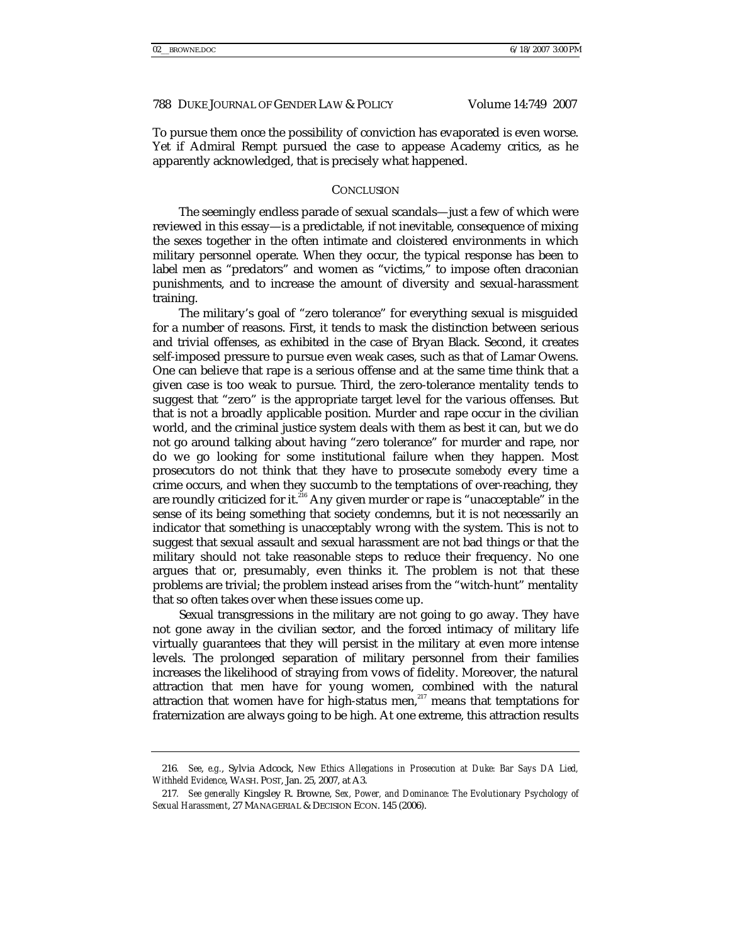To pursue them once the possibility of conviction has evaporated is even worse. Yet if Admiral Rempt pursued the case to appease Academy critics, as he apparently acknowledged, that is precisely what happened.

## **CONCLUSION**

The seemingly endless parade of sexual scandals—just a few of which were reviewed in this essay—is a predictable, if not inevitable, consequence of mixing the sexes together in the often intimate and cloistered environments in which military personnel operate. When they occur, the typical response has been to label men as "predators" and women as "victims," to impose often draconian punishments, and to increase the amount of diversity and sexual-harassment training.

The military's goal of "zero tolerance" for everything sexual is misguided for a number of reasons. First, it tends to mask the distinction between serious and trivial offenses, as exhibited in the case of Bryan Black. Second, it creates self-imposed pressure to pursue even weak cases, such as that of Lamar Owens. One can believe that rape is a serious offense and at the same time think that a given case is too weak to pursue. Third, the zero-tolerance mentality tends to suggest that "zero" is the appropriate target level for the various offenses. But that is not a broadly applicable position. Murder and rape occur in the civilian world, and the criminal justice system deals with them as best it can, but we do not go around talking about having "zero tolerance" for murder and rape, nor do we go looking for some institutional failure when they happen. Most prosecutors do not think that they have to prosecute *somebody* every time a crime occurs, and when they succumb to the temptations of over-reaching, they are roundly criticized for it.<sup>216</sup> Any given murder or rape is "unacceptable" in the sense of its being something that society condemns, but it is not necessarily an indicator that something is unacceptably wrong with the system. This is not to suggest that sexual assault and sexual harassment are not bad things or that the military should not take reasonable steps to reduce their frequency. No one argues that or, presumably, even thinks it. The problem is not that these problems are trivial; the problem instead arises from the "witch-hunt" mentality that so often takes over when these issues come up.

Sexual transgressions in the military are not going to go away. They have not gone away in the civilian sector, and the forced intimacy of military life virtually guarantees that they will persist in the military at even more intense levels. The prolonged separation of military personnel from their families increases the likelihood of straying from vows of fidelity. Moreover, the natural attraction that men have for young women, combined with the natural attraction that women have for high-status men, $^{217}$  means that temptations for fraternization are always going to be high. At one extreme, this attraction results

<sup>216</sup>*. See*, *e.g.*, Sylvia Adcock, *New Ethics Allegations in Prosecution at Duke: Bar Says DA Lied, Withheld Evidence*, WASH. POST, Jan. 25, 2007, at A3.

<sup>217</sup>*. See generally* Kingsley R. Browne, *Sex, Power, and Dominance: The Evolutionary Psychology of Sexual Harassment*, 27 MANAGERIAL & DECISION ECON. 145 (2006).